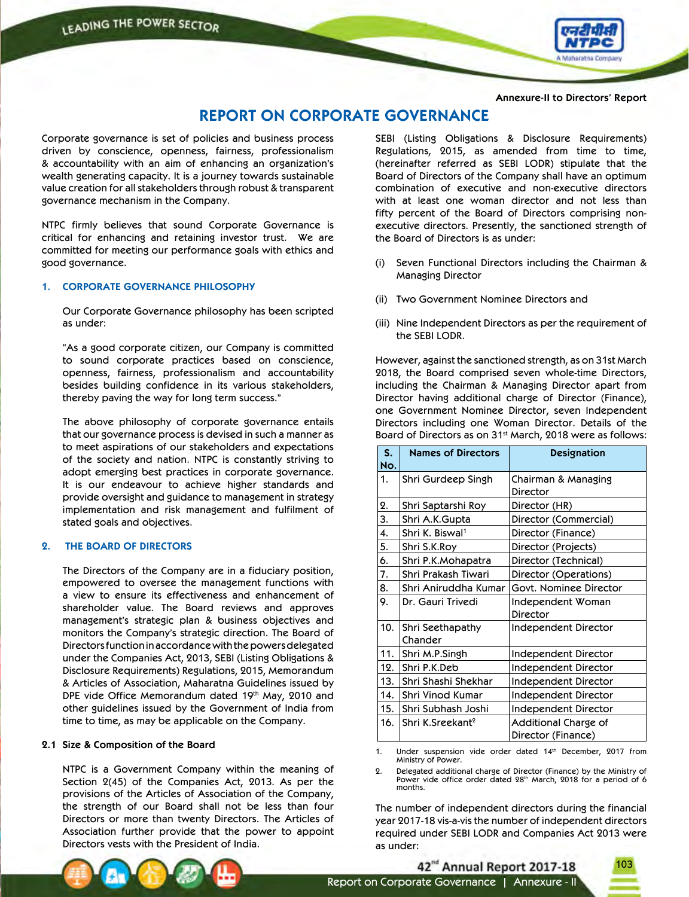

**Annexure-II to Directors' Report**

# **REPORT ON CORPORATE GOVERNANCE**

Corporate governance is set of policies and business process driven by conscience, openness, fairness, professionalism & accountability with an aim of enhancing an organization's wealth generating capacity. It is a journey towards sustainable value creation for all stakeholders through robust & transparent governance mechanism in the Company.

NTPC firmly believes that sound Corporate Governance is critical for enhancing and retaining investor trust. We are committed for meeting our performance goals with ethics and good governance.

### **1. CORPORATE GOVERNANCE PHILOSOPHY**

 Our Corporate Governance philosophy has been scripted as under:

 "As a good corporate citizen, our Company is committed to sound corporate practices based on conscience, openness, fairness, professionalism and accountability besides building confidence in its various stakeholders, thereby paving the way for long term success."

 The above philosophy of corporate governance entails that our governance process is devised in such a manner as to meet aspirations of our stakeholders and expectations of the society and nation. NTPC is constantly striving to adopt emerging best practices in corporate governance. It is our endeavour to achieve higher standards and provide oversight and guidance to management in strategy implementation and risk management and fulfilment of stated goals and objectives.

### **2. THE BOARD OF DIRECTORS**

 The Directors of the Company are in a fiduciary position, empowered to oversee the management functions with a view to ensure its effectiveness and enhancement of shareholder value. The Board reviews and approves management's strategic plan & business objectives and monitors the Company's strategic direction. The Board of Directors function in accordance with the powers delegated under the Companies Act, 2013, SEBI (Listing Obligations & Disclosure Requirements) Regulations, 2015, Memorandum & Articles of Association, Maharatna Guidelines issued by DPE vide Office Memorandum dated 19th May, 2010 and other guidelines issued by the Government of India from time to time, as may be applicable on the Company.

### **2.1 Size & Composition of the Board**

 NTPC is a Government Company within the meaning of Section 2(45) of the Companies Act, 2013. As per the provisions of the Articles of Association of the Company, the strength of our Board shall not be less than four Directors or more than twenty Directors. The Articles of Association further provide that the power to appoint Directors vests with the President of India.

 SEBI (Listing Obligations & Disclosure Requirements) Regulations, 2015, as amended from time to time, (hereinafter referred as SEBI LODR) stipulate that the Board of Directors of the Company shall have an optimum combination of executive and non-executive directors with at least one woman director and not less than fifty percent of the Board of Directors comprising nonexecutive directors. Presently, the sanctioned strength of the Board of Directors is as under:

- (i) Seven Functional Directors including the Chairman & Managing Director
- (ii) Two Government Nominee Directors and
- (iii) Nine Independent Directors as per the requirement of the SEBI LODR.

 However, against the sanctioned strength, as on 31st March 2018, the Board comprised seven whole-time Directors, including the Chairman & Managing Director apart from Director having additional charge of Director (Finance), one Government Nominee Director, seven Independent Directors including one Woman Director. Details of the Board of Directors as on 31<sup>st</sup> March, 2018 were as follows:

| S.<br>No. | <b>Names of Directors</b>    | <b>Designation</b>                         |
|-----------|------------------------------|--------------------------------------------|
| 1.        | Shri Gurdeep Singh           | Chairman & Managing<br>Director            |
| 2.        | Shri Saptarshi Roy           | Director (HR)                              |
| 3.        | Shri A.K.Gupta               | Director (Commercial)                      |
| 4.        | Shri K. Biswal <sup>1</sup>  | Director (Finance)                         |
| 5.        | Shri S.K.Roy                 | Director (Projects)                        |
| 6.        | Shri P.K.Mohapatra           | Director (Technical)                       |
| 7.        | Shri Prakash Tiwari          | Director (Operations)                      |
| 8.        | Shri Aniruddha Kumar         | Govt. Nominee Director                     |
| 9.        | Dr. Gauri Trivedi            | Independent Woman<br>Director              |
| 10.       | Shri Seethapathy<br>Chander  | Independent Director                       |
| 11.       | Shri M.P.Singh               | Independent Director                       |
| 12.       | Shri P.K.Deb                 | Independent Director                       |
| 13.       | Shri Shashi Shekhar          | Independent Director                       |
| 14.       | Shri Vinod Kumar             | Independent Director                       |
| 15.       | Shri Subhash Joshi           | Independent Director                       |
| 16.       | Shri K.Sreekant <sup>2</sup> | Additional Charge of<br>Director (Finance) |

1. Under suspension vide order dated 14th December, 2017 from Ministry of Power.

2. Delegated additional charge of Director (Finance) by the Ministry of Power vide office order dated 28<sup>th</sup> March, 2018 for a period of 6 months.

 The number of independent directors during the financial year 2017-18 vis-a-vis the number of independent directors required under SEBI LODR and Companies Act 2013 were as under:

103

42<sup>nd</sup> Annual Report 2017-18

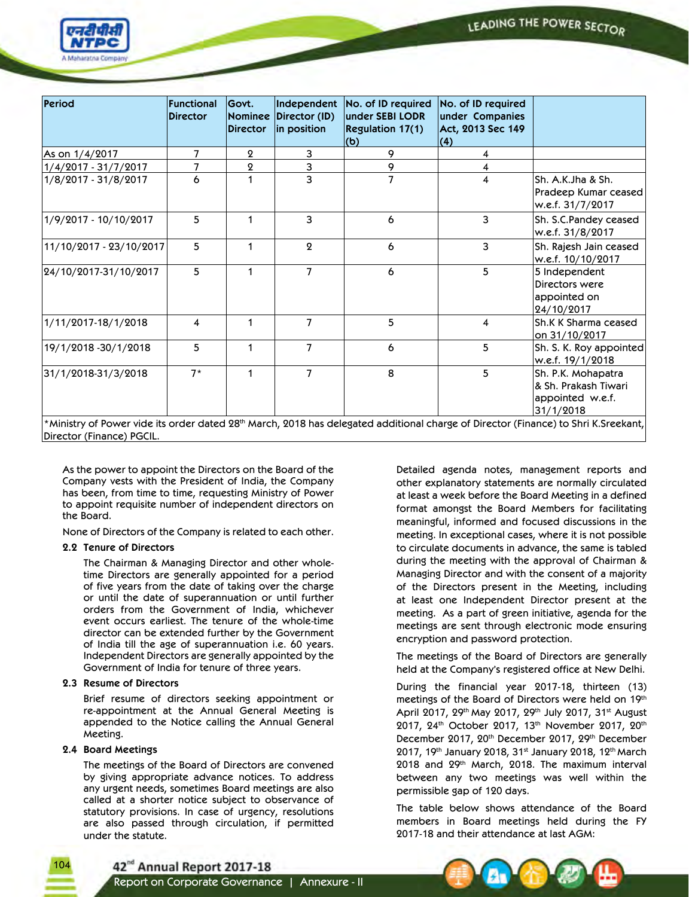

| Period                                                                                                                                                    | Functional<br><b>Director</b> | Govt.<br><b>Nominee</b><br><b>Director</b> | Independent<br>Director (ID)<br>in position | No. of ID required<br>under SEBI LODR<br>Regulation 17(1)<br>(b) | No. of ID required<br>under Companies<br>Act, 2013 Sec 149<br>$\vert(4)\vert$ |                                                                             |
|-----------------------------------------------------------------------------------------------------------------------------------------------------------|-------------------------------|--------------------------------------------|---------------------------------------------|------------------------------------------------------------------|-------------------------------------------------------------------------------|-----------------------------------------------------------------------------|
| As on $1/4/2017$                                                                                                                                          | 7                             | $\mathbf 2$                                | 3                                           | 9                                                                | 4                                                                             |                                                                             |
| 1/4/2017 - 31/7/2017                                                                                                                                      | 7                             | $\boldsymbol{2}$                           | з                                           | 9                                                                | 4                                                                             |                                                                             |
| 1/8/2017 - 31/8/2017                                                                                                                                      | 6                             |                                            | 3                                           | 7                                                                | 4                                                                             | Sh. A.K.Jha & Sh.<br>Pradeep Kumar ceased<br>w.e.f. 31/7/2017               |
| 1/9/2017 - 10/10/2017                                                                                                                                     | 5                             |                                            | 3                                           | 6                                                                | 3                                                                             | Sh. S.C.Pandey ceased<br>w.e.f. 31/8/2017                                   |
| 11/10/2017 - 23/10/2017                                                                                                                                   | 5                             |                                            | $\mathbf{Q}$                                | 6                                                                | 3                                                                             | Sh. Rajesh Jain ceased<br>w.e.f. 10/10/2017                                 |
| 24/10/2017-31/10/2017                                                                                                                                     | 5                             | 1                                          | $\overline{7}$                              | 6                                                                | 5                                                                             | 5 Independent<br>Directors were<br>appointed on<br>24/10/2017               |
| 1/11/2017-18/1/2018                                                                                                                                       | 4                             | 1                                          | $\overline{7}$                              | 5                                                                | 4                                                                             | Sh.K K Sharma ceased<br>on 31/10/2017                                       |
| 19/1/2018 - 30/1/2018                                                                                                                                     | 5                             | 1                                          | $\overline{7}$                              | 6                                                                | 5                                                                             | Sh. S. K. Roy appointed<br>w.e.f. 19/1/2018                                 |
| 31/1/2018-31/3/2018<br>*Ministry of Power vide its order dated 28th March, 2018 has delegated additional charge of Director (Finance) to Shri K.Sreekant, | $7*$                          |                                            | $\overline{7}$                              | 8                                                                | 5                                                                             | Sh. P.K. Mohapatra<br>& Sh. Prakash Tiwari<br>appointed w.e.f.<br>31/1/2018 |

 As the power to appoint the Directors on the Board of the Company vests with the President of India, the Company has been, from time to time, requesting Ministry of Power to appoint requisite number of independent directors on the Board.

None of Directors of the Company is related to each other.

### **2.2 Tenure of Directors**

 The Chairman & Managing Director and other wholetime Directors are generally appointed for a period of five years from the date of taking over the charge or until the date of superannuation or until further orders from the Government of India, whichever event occurs earliest. The tenure of the whole-time director can be extended further by the Government of India till the age of superannuation i.e. 60 years. Independent Directors are generally appointed by the Government of India for tenure of three years.

### **2.3 Resume of Directors**

 Brief resume of directors seeking appointment or re-appointment at the Annual General Meeting is appended to the Notice calling the Annual General Meeting.

### **2.4 Board Meetings**

1 $\cap$ 

 The meetings of the Board of Directors are convened by giving appropriate advance notices. To address any urgent needs, sometimes Board meetings are also called at a shorter notice subject to observance of statutory provisions. In case of urgency, resolutions are also passed through circulation, if permitted under the statute.

 Detailed agenda notes, management reports and other explanatory statements are normally circulated at least a week before the Board Meeting in a defined format amongst the Board Members for facilitating meaningful, informed and focused discussions in the meeting. In exceptional cases, where it is not possible to circulate documents in advance, the same is tabled during the meeting with the approval of Chairman & Managing Director and with the consent of a majority of the Directors present in the Meeting, including at least one Independent Director present at the meeting. As a part of green initiative, agenda for the meetings are sent through electronic mode ensuring encryption and password protection.

 The meetings of the Board of Directors are generally held at the Company's registered office at New Delhi.

 During the financial year 2017-18, thirteen (13) meetings of the Board of Directors were held on 19th April 2017, 29th May 2017, 29th July 2017, 31st August 2017, 24<sup>th</sup> October 2017, 13<sup>th</sup> November 2017, 20<sup>th</sup> December 2017, 20<sup>th</sup> December 2017, 29<sup>th</sup> December 2017, 19th January 2018, 31st January 2018, 12th March 2018 and 29th March, 2018. The maximum interval between any two meetings was well within the permissible gap of 120 days.

 The table below shows attendance of the Board members in Board meetings held during the FY 2017-18 and their attendance at last AGM:

42<sup>nd</sup> Annual Report 2017-18

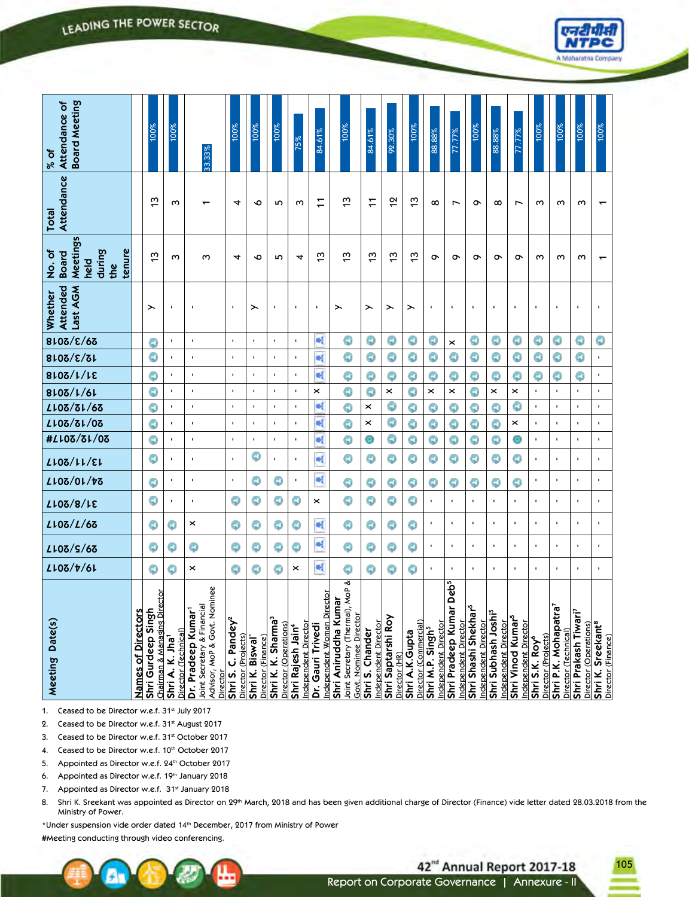| <b>Board Meeting</b><br>Attendance of<br>% of                                                                                                                                                                                                                                                                                                                                                                                                                                                                                                                                                                                                                       |                           | 100%                                                          | 100%                                   | 33.33%                                                |                                         | 100%                                                     | 100%                                  | 100%                                                    | 75%                                                   | 84.61%                                               | 100%                                                                                       | 84.61%                                  | 92.30%                              | 100%                                    | 88.88%                                               | 77.77%                                                      | 100%                                                     | 88.88%                                                      | <b>ZT.77%</b>                                         | 100%                                              | 100%                                                         | $100\%$                                          | 100%                                                   |
|---------------------------------------------------------------------------------------------------------------------------------------------------------------------------------------------------------------------------------------------------------------------------------------------------------------------------------------------------------------------------------------------------------------------------------------------------------------------------------------------------------------------------------------------------------------------------------------------------------------------------------------------------------------------|---------------------------|---------------------------------------------------------------|----------------------------------------|-------------------------------------------------------|-----------------------------------------|----------------------------------------------------------|---------------------------------------|---------------------------------------------------------|-------------------------------------------------------|------------------------------------------------------|--------------------------------------------------------------------------------------------|-----------------------------------------|-------------------------------------|-----------------------------------------|------------------------------------------------------|-------------------------------------------------------------|----------------------------------------------------------|-------------------------------------------------------------|-------------------------------------------------------|---------------------------------------------------|--------------------------------------------------------------|--------------------------------------------------|--------------------------------------------------------|
| Attendance<br>Total                                                                                                                                                                                                                                                                                                                                                                                                                                                                                                                                                                                                                                                 |                           | $\frac{1}{2}$                                                 | $\omega$                               |                                                       |                                         | 4                                                        | ∘                                     | <b>In</b>                                               | ω                                                     | $\overline{ }$                                       | ო                                                                                          | $\overline{ }$                          | $\frac{1}{2}$                       | $\frac{1}{2}$                           | $\infty$                                             | Ļ                                                           | $\sigma$                                                 | $\infty$                                                    | L                                                     | ო                                                 | ო                                                            | ო                                                | $\overline{\phantom{0}}$                               |
| <b>Meetings</b><br>tenure<br>No. of<br>during<br><b>Board</b><br>held<br>the                                                                                                                                                                                                                                                                                                                                                                                                                                                                                                                                                                                        |                           | ო                                                             | ო                                      | ო                                                     |                                         | 4                                                        | $\bullet$                             | <b>In</b>                                               | 4                                                     | ო                                                    | ო                                                                                          | ო                                       | ო                                   | $\frac{1}{2}$                           | $\sigma$                                             | ᡐ                                                           | $\sigma$                                                 | $\sigma$                                                    | ᡐ                                                     | ო                                                 | ო                                                            | ო                                                | $\overline{\phantom{0}}$                               |
| Last AGM<br>Attended<br>Whether                                                                                                                                                                                                                                                                                                                                                                                                                                                                                                                                                                                                                                     |                           | ⋋                                                             | ×                                      | $\blacksquare$                                        |                                         | $\blacksquare$                                           | ⋋                                     | ٠                                                       | ٠                                                     | $\blacksquare$                                       | ⋋                                                                                          | ⋋                                       | ⋋                                   | ≻                                       | $\blacksquare$                                       | ٠                                                           | ٠                                                        | ٠                                                           | ×                                                     | $\blacksquare$                                    | $\blacksquare$                                               | ٠                                                | ×                                                      |
| 8108/E/65                                                                                                                                                                                                                                                                                                                                                                                                                                                                                                                                                                                                                                                           |                           | ٥                                                             | $\blacksquare$                         | $\blacksquare$                                        |                                         | $\blacksquare$                                           | $\blacksquare$                        | $\blacksquare$                                          | $\blacksquare$                                        | ٠ŧ                                                   | ٥                                                                                          | ٥                                       | ٥                                   | О                                       | Ф                                                    | ×                                                           | ٥                                                        | O                                                           | ٥                                                     | О                                                 | Ф                                                            | Ф                                                | ٥                                                      |
| 8108/E/81                                                                                                                                                                                                                                                                                                                                                                                                                                                                                                                                                                                                                                                           |                           | О                                                             | $\blacksquare$                         | $\blacksquare$                                        |                                         | $\blacksquare$                                           | $\blacksquare$                        | ٠                                                       | $\blacksquare$                                        | a,                                                   | ٥                                                                                          | ٥                                       | ٥                                   | ٥                                       | ٥                                                    | 0                                                           | ٥                                                        | ٥                                                           | ٥                                                     | 0                                                 | ٥                                                            | О                                                | $\mathbf{r}$                                           |
| 8107/1/18                                                                                                                                                                                                                                                                                                                                                                                                                                                                                                                                                                                                                                                           |                           | ٥                                                             | $\blacksquare$                         | $\blacksquare$                                        |                                         | $\blacksquare$                                           | $\blacksquare$                        | $\mathbf{r}$                                            | $\mathbf{r}$                                          | e,                                                   | ٥                                                                                          | ٥                                       | G                                   | ٥                                       | Ф                                                    | ٥                                                           | ٥                                                        | ٥                                                           | ٥                                                     | О                                                 | О                                                            | ٥                                                | $\blacksquare$                                         |
| 8107/1/61                                                                                                                                                                                                                                                                                                                                                                                                                                                                                                                                                                                                                                                           |                           | О                                                             | $\blacksquare$                         | $\blacksquare$                                        |                                         | $\blacksquare$                                           | $\blacksquare$                        | $\mathbf{r}$                                            | $\blacksquare$                                        | ×                                                    | ٥                                                                                          | ٥                                       | $\pmb{\times}$                      | ٥                                       | ×                                                    | ×                                                           | ٥                                                        | ×                                                           | ×                                                     | $\blacksquare$                                    | $\mathbf{r}$                                                 | ٠                                                | $\mathbf{r}$                                           |
| LL03/31/63                                                                                                                                                                                                                                                                                                                                                                                                                                                                                                                                                                                                                                                          |                           | ٥                                                             | $\blacksquare$                         | $\blacksquare$                                        |                                         | $\blacksquare$                                           | $\blacksquare$                        | $\blacksquare$                                          | $\blacksquare$                                        | a,                                                   | ٥                                                                                          | ×                                       | ٥                                   | ٥                                       | Ф                                                    | ٥                                                           | ٥                                                        | ٥                                                           | ٥                                                     | $\blacksquare$                                    | $\blacksquare$                                               | $\blacksquare$                                   | $\blacksquare$                                         |
| LL03/3L/03                                                                                                                                                                                                                                                                                                                                                                                                                                                                                                                                                                                                                                                          |                           | ٥                                                             | $\blacksquare$                         | $\blacksquare$                                        |                                         | $\blacksquare$                                           | $\blacksquare$                        | $\mathbf{r}$                                            | $\mathbf{r}$                                          | e.                                                   | ٥                                                                                          | ×                                       | ٥                                   | ٥                                       | ٥                                                    | G                                                           | ٥                                                        | ٥                                                           | ×                                                     | $\blacksquare$                                    | $\blacksquare$                                               | $\blacksquare$                                   | $\mathbf{r}$                                           |
| #LL03/3L/03                                                                                                                                                                                                                                                                                                                                                                                                                                                                                                                                                                                                                                                         |                           | ٥                                                             | $\blacksquare$                         | $\blacksquare$                                        |                                         | $\blacksquare$                                           | $\blacksquare$                        | $\blacksquare$                                          | $\blacksquare$                                        | ٠ŧ                                                   | ٥                                                                                          | Ø                                       | О                                   | ٥                                       | Ф                                                    | ٥                                                           | ٥                                                        | ٥                                                           | Ø                                                     | $\blacksquare$                                    | $\mathbf{r}$                                                 | ٠                                                | $\mathbf{r}$                                           |
| LLOZ/LL/EL                                                                                                                                                                                                                                                                                                                                                                                                                                                                                                                                                                                                                                                          |                           | ٥                                                             | $\blacksquare$                         | $\blacksquare$                                        |                                         | $\blacksquare$                                           | ٥                                     | $\blacksquare$                                          | $\blacksquare$                                        | α                                                    | ٥                                                                                          | ٥                                       | ٥                                   | О                                       | О                                                    | ٩                                                           | Ф                                                        | О                                                           | ٥                                                     | $\blacksquare$                                    | $\blacksquare$                                               | ٠                                                | $\blacksquare$                                         |
| LL03/01/73                                                                                                                                                                                                                                                                                                                                                                                                                                                                                                                                                                                                                                                          |                           | ٥                                                             | $\blacksquare$                         | $\blacksquare$                                        |                                         | $\blacksquare$                                           | О                                     | ٥                                                       | ٠                                                     | Œ                                                    | О                                                                                          | О                                       | ٥                                   | ٥                                       | ٥                                                    | ٥                                                           | ٥                                                        | ٥                                                           | ٥                                                     | $\blacksquare$                                    | $\blacksquare$                                               | $\blacksquare$                                   | $\mathbf{r}$                                           |
| <b>S1/8/15</b>                                                                                                                                                                                                                                                                                                                                                                                                                                                                                                                                                                                                                                                      |                           | ٥                                                             | $\blacksquare$                         | $\blacksquare$                                        |                                         | О                                                        | О                                     | ٥                                                       | О                                                     | ×                                                    | ٥                                                                                          | ٥                                       | ٥                                   | О                                       | $\blacksquare$                                       | $\blacksquare$                                              | $\mathbf{r}$                                             | $\blacksquare$                                              | $\mathbf{r}$                                          | $\blacksquare$                                    | $\mathbf{r}$                                                 | $\blacksquare$                                   | $\mathbf{r}$                                           |
| LLOZ/L/6Z                                                                                                                                                                                                                                                                                                                                                                                                                                                                                                                                                                                                                                                           |                           | О                                                             | ٥                                      | $\boldsymbol{\times}$                                 |                                         | ٥                                                        | О                                     | ٥                                                       | 0                                                     | α                                                    | О                                                                                          | ٥                                       | ٥                                   | ٥                                       | $\blacksquare$                                       | ٠                                                           | $\blacksquare$                                           | $\blacksquare$                                              | ٠                                                     | $\blacksquare$                                    | $\blacksquare$                                               | ×                                                | $\blacksquare$                                         |
| $L10\delta/S/6\delta$                                                                                                                                                                                                                                                                                                                                                                                                                                                                                                                                                                                                                                               |                           | О                                                             | ٥                                      | ٥                                                     |                                         | О                                                        | О                                     | ٥                                                       | ٥                                                     | α                                                    | ٥                                                                                          | О                                       | ٥                                   | ٥                                       | $\blacksquare$                                       | ٠                                                           | $\blacksquare$                                           | $\blacksquare$                                              | <b>I</b>                                              | $\blacksquare$                                    | ×,                                                           | ×,                                               | $\mathbf{r}$                                           |
| L107/t/61                                                                                                                                                                                                                                                                                                                                                                                                                                                                                                                                                                                                                                                           |                           | Э                                                             | Ф                                      | $\pmb{\times}$                                        |                                         | ٥                                                        | G                                     | ٥                                                       | ×                                                     | G                                                    | ٥                                                                                          | О                                       | Ф                                   | Ф                                       | $\blacksquare$                                       | ٠                                                           | $\mathbf{r}$                                             | ٠                                                           | ٠                                                     | $\blacksquare$                                    | ٠                                                            | ×                                                | $\blacksquare$                                         |
|                                                                                                                                                                                                                                                                                                                                                                                                                                                                                                                                                                                                                                                                     |                           |                                                               |                                        |                                                       |                                         |                                                          |                                       |                                                         |                                                       |                                                      |                                                                                            |                                         |                                     |                                         |                                                      |                                                             |                                                          |                                                             |                                                       |                                                   |                                                              |                                                  |                                                        |
| Date(s)<br>Meeting                                                                                                                                                                                                                                                                                                                                                                                                                                                                                                                                                                                                                                                  | ļمبر<br>Names of Director | irector<br>ᇰ<br>Sing<br>Chairman & Managing D<br>Shri Gurdeep | Director (Technical)<br>Shri A. K. Jha | Joint Secretary & Financial<br>Z,<br>Dr. Pradeep Kuma | Advisor, MoP & Govt. Nominee<br>Directo | C. Pandey <sup>2</sup><br>Director (Projects)<br>Shri S. | Director (Finance)<br>Shri K. Biswal' | Shri K. K. Sharma <sup>3</sup><br>Director (Operations) | Independent Directoı<br>Shri Rajesh Jain <sup>4</sup> | irector<br>Independent Woman Di<br>Dr. Gauri Trivedi | Joint Secretary (Thermal), MoP &<br>ੇਰ<br>É<br>Shri Aniruddha Ku<br>Govt. Nominee Director | Independent Director<br>Shri S. Chander | Shri Saptarshi Roy<br>Director (HR) | Director (Commercial)<br>Shri A.K.Gupta | Independent Director<br>Shri M.P. Singh <sup>5</sup> | Shri Pradeep Kumar Deb <sup>5</sup><br>Independent Director | Shri Shashi Shekhar <sup>5</sup><br>Independent Director | $\overline{a}$<br>Shri Subhash Josh<br>Independent Director | Shri Vinod Kumar <sup>5</sup><br>Independent Director | Director (Projects)<br>Shri S.K. Roy <sup>6</sup> | ັ <sub>ດ</sub><br>Shri P.K. Mohapatı<br>Director (Technical) | ÷.<br>Shri Prakash Tiwa<br>Director (Operations) | Sreekant <sup>8</sup><br>Director (Finance)<br>Shri K. |
| 1. Ceased to be Director w.e.f. 31 <sup>st</sup> July 2017<br>2. Ceased to be Director w.e.f. 31st August 2017<br>3. Ceased to be Director w.e.f. 31st October 2017<br>4. Ceased to be Director w.e.f. 10th October 2017<br>5. Appointed as Director w.e.f. 24th October 2017<br>6. Appointed as Director w.e.f. 19th January 2018<br>Appointed as Director w.e.f. 31st January 2018<br>7.<br>Shri K. Sreekant was appointed as Director on 29th March, 2018 and has been given additional charge of Director (Finance) vide letter dated 28.03.2018 f<br>8.<br>Ministry of Power.<br>*Under suspension vide order dated 14th December, 2017 from Ministry of Power |                           |                                                               |                                        |                                                       |                                         |                                                          |                                       |                                                         |                                                       |                                                      |                                                                                            |                                         |                                     |                                         |                                                      |                                                             |                                                          |                                                             |                                                       |                                                   |                                                              |                                                  |                                                        |

8. Shri K. Sreekant was appointed as Director on 29<sup>th</sup> March, 2018 and has been given additional charge of Director (Finance) vide letter dated 28.03.2018 from the Ministry of Power.



105



42<sup>nd</sup> Annual Report 2017-18 Report on Corporate Governance | Annexure - II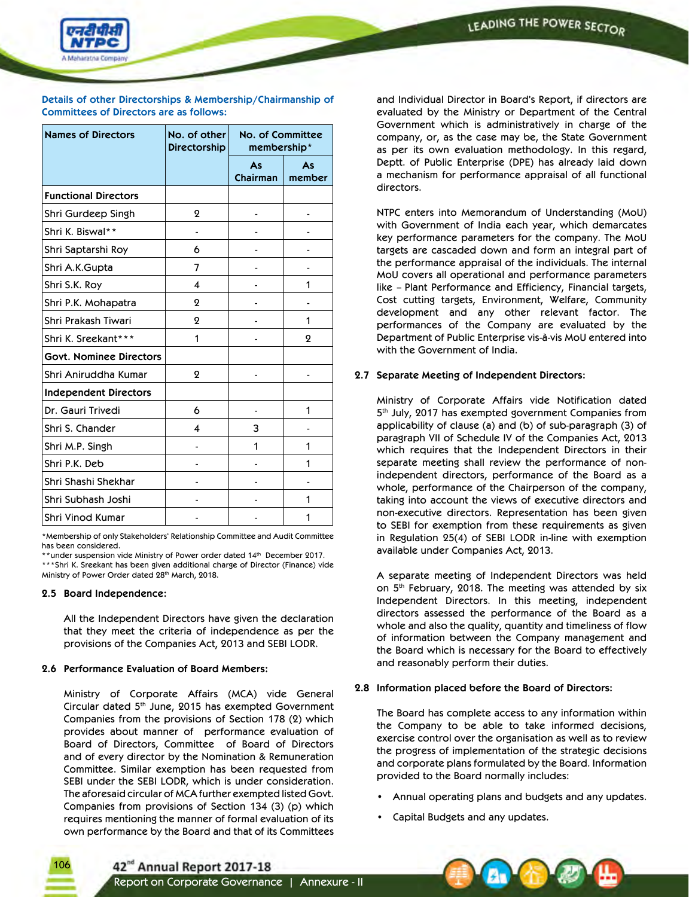

### **Details of other Directorships & Membership/Chairmanship of Committees of Directors are as follows:**

| <b>Names of Directors</b>      | No. of other<br><b>Directorship</b> | <b>No. of Committee</b><br>membership* |              |
|--------------------------------|-------------------------------------|----------------------------------------|--------------|
|                                |                                     | As<br><b>Chairman</b>                  | As<br>member |
| <b>Functional Directors</b>    |                                     |                                        |              |
| Shri Gurdeep Singh             | $\mathbf 2$                         |                                        |              |
| Shri K. Biswal**               |                                     |                                        |              |
| Shri Saptarshi Roy             | 6                                   |                                        |              |
| Shri A.K.Gupta                 | 7                                   |                                        |              |
| Shri S.K. Roy                  | 4                                   |                                        | 1            |
| Shri P.K. Mohapatra            | 2                                   |                                        |              |
| Shri Prakash Tiwari            | 2                                   |                                        | 1            |
| Shri K. Sreekant***            | 1                                   |                                        | ջ            |
| <b>Govt. Nominee Directors</b> |                                     |                                        |              |
| Shri Aniruddha Kumar           | $\mathbf 2$                         |                                        |              |
| <b>Independent Directors</b>   |                                     |                                        |              |
| Dr. Gauri Trivedi              | 6                                   |                                        | 1            |
| Shri S. Chander                | 4                                   | 3                                      |              |
| Shri M.P. Singh                |                                     | 1                                      | 1            |
| Shri P.K. Deb                  |                                     |                                        | 1            |
| Shri Shashi Shekhar            |                                     |                                        |              |
| Shri Subhash Joshi             |                                     |                                        | 1            |
| <b>Shri Vinod Kumar</b>        |                                     |                                        | 1            |

\*Membership of only Stakeholders' Relationship Committee and Audit Committee has been considered.

\*\*under suspension vide Ministry of Power order dated 14th December 2017. \*\*\*Shri K. Sreekant has been given additional charge of Director (Finance) vide Ministry of Power Order dated 28th March, 2018.

### **2.5 Board Independence:**

106

 All the Independent Directors have given the declaration that they meet the criteria of independence as per the provisions of the Companies Act, 2013 and SEBI LODR.

### **2.6 Performance Evaluation of Board Members:**

 Ministry of Corporate Affairs (MCA) vide General Circular dated 5th June, 2015 has exempted Government Companies from the provisions of Section 178 (2) which provides about manner of performance evaluation of Board of Directors, Committee of Board of Directors and of every director by the Nomination & Remuneration Committee. Similar exemption has been requested from SEBI under the SEBI LODR, which is under consideration. The aforesaid circular of MCA further exempted listed Govt. Companies from provisions of Section 134 (3) (p) which requires mentioning the manner of formal evaluation of its own performance by the Board and that of its Committees

and Individual Director in Board's Report, if directors are evaluated by the Ministry or Department of the Central Government which is administratively in charge of the company, or, as the case may be, the State Government as per its own evaluation methodology. In this regard, Deptt. of Public Enterprise (DPE) has already laid down a mechanism for performance appraisal of all functional directors.

 NTPC enters into Memorandum of Understanding (MoU) with Government of India each year, which demarcates key performance parameters for the company. The MoU targets are cascaded down and form an integral part of the performance appraisal of the individuals. The internal MoU covers all operational and performance parameters like – Plant Performance and Efficiency, Financial targets, Cost cutting targets, Environment, Welfare, Community development and any other relevant factor. The performances of the Company are evaluated by the Department of Public Enterprise vis-à-vis MoU entered into with the Government of India.

### **2.7 Separate Meeting of Independent Directors:**

 Ministry of Corporate Affairs vide Notification dated 5<sup>th</sup> July, 2017 has exempted government Companies from applicability of clause (a) and (b) of sub-paragraph (3) of paragraph VII of Schedule IV of the Companies Act, 2013 which requires that the Independent Directors in their separate meeting shall review the performance of nonindependent directors, performance of the Board as a whole, performance of the Chairperson of the company, taking into account the views of executive directors and non-executive directors. Representation has been given to SEBI for exemption from these requirements as given in Regulation 25(4) of SEBI LODR in-line with exemption available under Companies Act, 2013.

 A separate meeting of Independent Directors was held on 5<sup>th</sup> February, 2018. The meeting was attended by six Independent Directors. In this meeting, independent directors assessed the performance of the Board as a whole and also the quality, quantity and timeliness of flow of information between the Company management and the Board which is necessary for the Board to effectively and reasonably perform their duties.

### **2.8 Information placed before the Board of Directors:**

 The Board has complete access to any information within the Company to be able to take informed decisions, exercise control over the organisation as well as to review the progress of implementation of the strategic decisions and corporate plans formulated by the Board. Information provided to the Board normally includes:

- Annual operating plans and budgets and any updates.
- Capital Budgets and any updates.

42<sup>nd</sup> Annual Report 2017-18

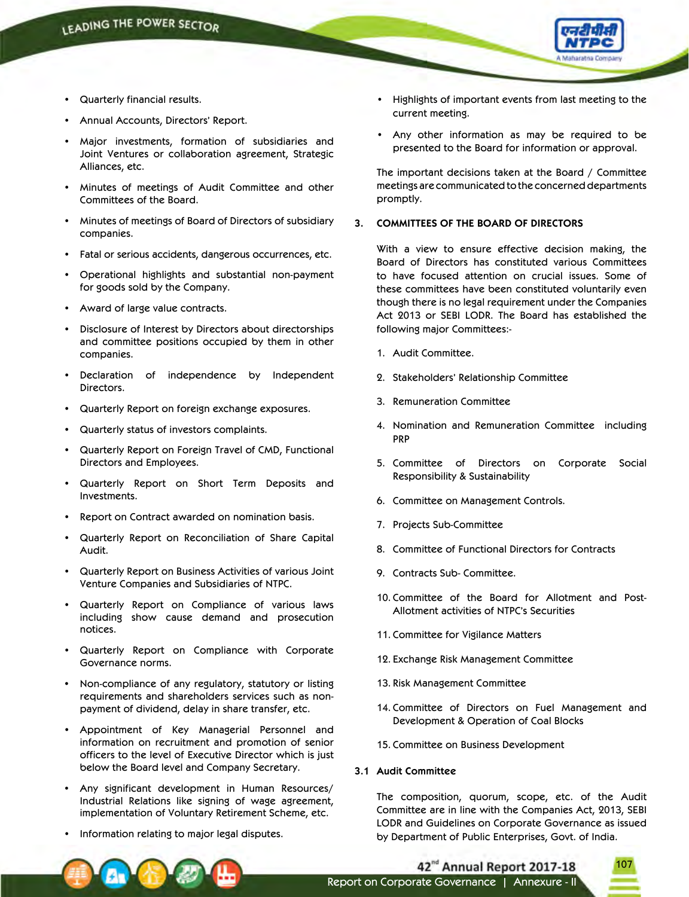

- Quarterly financial results.
- Annual Accounts, Directors' Report.
- • Major investments, formation of subsidiaries and Joint Ventures or collaboration agreement, Strategic Alliances, etc.
- Minutes of meetings of Audit Committee and other Committees of the Board.
- • Minutes of meetings of Board of Directors of subsidiary companies.
- • Fatal or serious accidents, dangerous occurrences, etc.
- Operational highlights and substantial non-payment for goods sold by the Company.
- • Award of large value contracts.
- Disclosure of Interest by Directors about directorships and committee positions occupied by them in other companies.
- Declaration of independence by Independent Directors.
- • Quarterly Report on foreign exchange exposures.
- • Quarterly status of investors complaints.
- Quarterly Report on Foreign Travel of CMD, Functional Directors and Employees.
- Quarterly Report on Short Term Deposits and Investments.
- Report on Contract awarded on nomination basis.
- Quarterly Report on Reconciliation of Share Capital Audit.
- Quarterly Report on Business Activities of various Joint Venture Companies and Subsidiaries of NTPC.
- • Quarterly Report on Compliance of various laws including show cause demand and prosecution notices.
- Quarterly Report on Compliance with Corporate Governance norms.
- Non-compliance of any regulatory, statutory or listing requirements and shareholders services such as nonpayment of dividend, delay in share transfer, etc.
- • Appointment of Key Managerial Personnel and information on recruitment and promotion of senior officers to the level of Executive Director which is just below the Board level and Company Secretary.
- Any significant development in Human Resources/ Industrial Relations like signing of wage agreement, implementation of Voluntary Retirement Scheme, etc.
- Information relating to major legal disputes.
- Highlights of important events from last meeting to the current meeting.
- • Any other information as may be required to be presented to the Board for information or approval.

 The important decisions taken at the Board / Committee meetings are communicated to the concerned departments promptly.

### **3. COMMITTEES OF THE BOARD OF DIRECTORS**

 With a view to ensure effective decision making, the Board of Directors has constituted various Committees to have focused attention on crucial issues. Some of these committees have been constituted voluntarily even though there is no legal requirement under the Companies Act 2013 or SEBI LODR. The Board has established the following major Committees:-

- 1. Audit Committee.
- 2. Stakeholders' Relationship Committee
- 3. Remuneration Committee
- 4. Nomination and Remuneration Committee including PRP
- 5. Committee of Directors on Corporate Social Responsibility & Sustainability
- 6. Committee on Management Controls.
- 7. Projects Sub-Committee
- 8. Committee of Functional Directors for Contracts
- 9. Contracts Sub- Committee.
- 10. Committee of the Board for Allotment and Post-Allotment activities of NTPC's Securities
- 11. Committee for Vigilance Matters
- 12. Exchange Risk Management Committee
- 13. Risk Management Committee
- 14. Committee of Directors on Fuel Management and Development & Operation of Coal Blocks
- 15. Committee on Business Development
- **3.1 Audit Committee**

 The composition, quorum, scope, etc. of the Audit Committee are in line with the Companies Act, 2013, SEBI LODR and Guidelines on Corporate Governance as issued by Department of Public Enterprises, Govt. of India.

107

42<sup>nd</sup> Annual Report 2017-18 Report on Corporate Governance | Annexure - II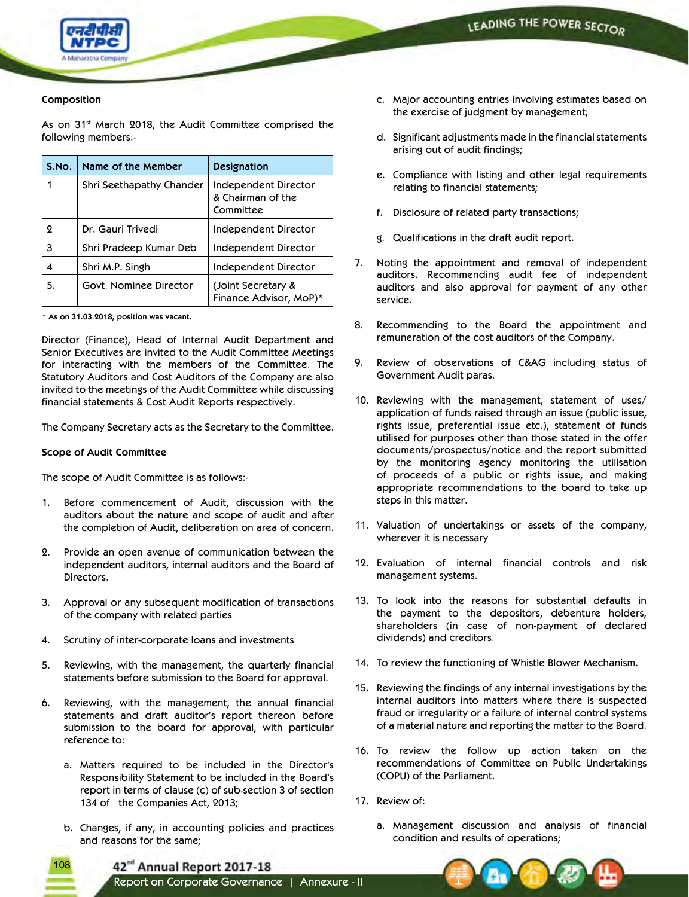

### **Composition**

As on 31<sup>st</sup> March 2018, the Audit Committee comprised the following members:-

| S.No. | Name of the Member       | Designation                                            |
|-------|--------------------------|--------------------------------------------------------|
|       | Shri Seethapathy Chander | Independent Director<br>& Chairman of the<br>Committee |
| ջ     | Dr. Gauri Trivedi        | <b>Independent Director</b>                            |
| 3     | Shri Pradeep Kumar Deb   | Independent Director                                   |
| 4     | Shri M.P. Singh          | Independent Director                                   |
| 5.    | Govt. Nominee Director   | (Joint Secretary &<br>Finance Advisor, MoP)*           |

|  |  |  |  |  |  | * As on 31.03.2018, position was vacant. |  |  |
|--|--|--|--|--|--|------------------------------------------|--|--|
|--|--|--|--|--|--|------------------------------------------|--|--|

Director (Finance), Head of Internal Audit Department and Senior Executives are invited to the Audit Committee Meetings for interacting with the members of the Committee. The Statutory Auditors and Cost Auditors of the Company are also invited to the meetings of the Audit Committee while discussing financial statements & Cost Audit Reports respectively.

The Company Secretary acts as the Secretary to the Committee.

### **Scope of Audit Committee**

108

The scope of Audit Committee is as follows:-

- 1. Before commencement of Audit, discussion with the auditors about the nature and scope of audit and after the completion of Audit, deliberation on area of concern.
- 2. Provide an open avenue of communication between the independent auditors, internal auditors and the Board of Directors.
- 3. Approval or any subsequent modification of transactions of the company with related parties
- 4. Scrutiny of inter-corporate loans and investments
- 5. Reviewing, with the management, the quarterly financial statements before submission to the Board for approval.
- 6. Reviewing, with the management, the annual financial statements and draft auditor's report thereon before submission to the board for approval, with particular reference to:
	- a. Matters required to be included in the Director's Responsibility Statement to be included in the Board's report in terms of clause (c) of sub-section 3 of section 134 of the Companies Act, 2013;
	- b. Changes, if any, in accounting policies and practices and reasons for the same;
- c. Major accounting entries involving estimates based on the exercise of judgment by management;
- d. Significant adjustments made in the financial statements arising out of audit findings;
- e. Compliance with listing and other legal requirements relating to financial statements;
- f. Disclosure of related party transactions;
- g. Qualifications in the draft audit report.
- 7. Noting the appointment and removal of independent auditors. Recommending audit fee of independent auditors and also approval for payment of any other service.
- 8. Recommending to the Board the appointment and remuneration of the cost auditors of the Company.
- 9. Review of observations of C&AG including status of Government Audit paras.
- 10. Reviewing with the management, statement of uses/ application of funds raised through an issue (public issue, rights issue, preferential issue etc.), statement of funds utilised for purposes other than those stated in the offer documents/prospectus/notice and the report submitted by the monitoring agency monitoring the utilisation of proceeds of a public or rights issue, and making appropriate recommendations to the board to take up steps in this matter.
- 11. Valuation of undertakings or assets of the company, wherever it is necessary
- 12. Evaluation of internal financial controls and risk management systems.
- 13. To look into the reasons for substantial defaults in the payment to the depositors, debenture holders, shareholders (in case of non-payment of declared dividends) and creditors.
- 14. To review the functioning of Whistle Blower Mechanism.
- 15. Reviewing the findings of any internal investigations by the internal auditors into matters where there is suspected fraud or irregularity or a failure of internal control systems of a material nature and reporting the matter to the Board.
- 16. To review the follow up action taken on the recommendations of Committee on Public Undertakings (COPU) of the Parliament.
- 17. Review of:
	- a. Management discussion and analysis of financial condition and results of operations;



42<sup>nd</sup> Annual Report 2017-18

Report on Corporate Governance | Annexure - II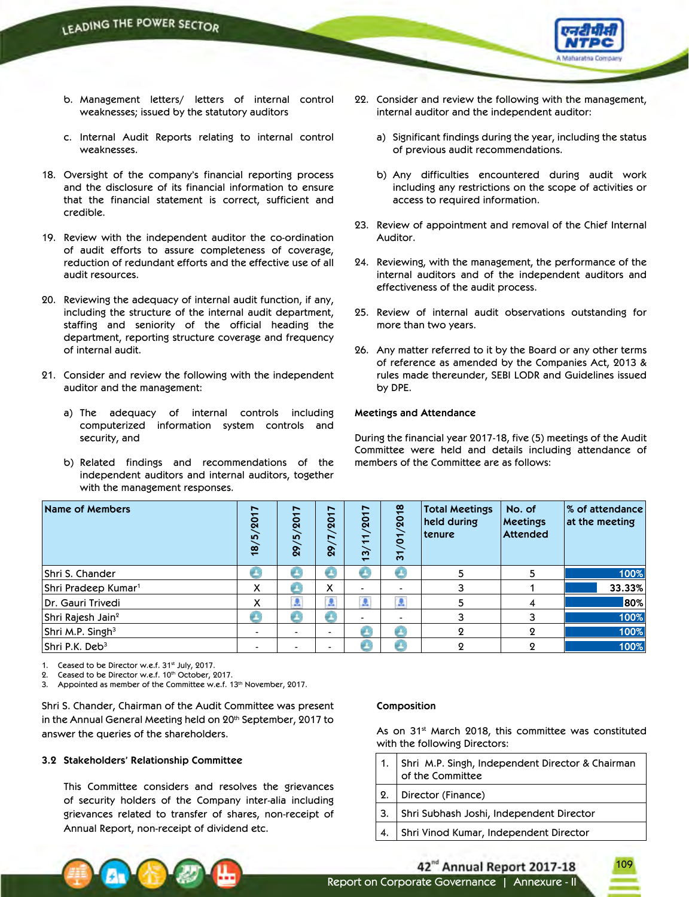

- b. Management letters/ letters of internal control weaknesses; issued by the statutory auditors
- c. Internal Audit Reports relating to internal control weaknesses.
- 18. Oversight of the company's financial reporting process and the disclosure of its financial information to ensure that the financial statement is correct, sufficient and credible.
- 19. Review with the independent auditor the co-ordination of audit efforts to assure completeness of coverage, reduction of redundant efforts and the effective use of all audit resources.
- 20. Reviewing the adequacy of internal audit function, if any, including the structure of the internal audit department, staffing and seniority of the official heading the department, reporting structure coverage and frequency of internal audit.
- 21. Consider and review the following with the independent auditor and the management:
	- a) The adequacy of internal controls including computerized information system controls and security, and
	- b) Related findings and recommendations of the independent auditors and internal auditors, together with the management responses.
- 22. Consider and review the following with the management, internal auditor and the independent auditor:
	- a) Significant findings during the year, including the status of previous audit recommendations.
	- b) Any difficulties encountered during audit work including any restrictions on the scope of activities or access to required information.
- 23. Review of appointment and removal of the Chief Internal Auditor.
- 24. Reviewing, with the management, the performance of the internal auditors and of the independent auditors and effectiveness of the audit process.
- 25. Review of internal audit observations outstanding for more than two years.
- 26. Any matter referred to it by the Board or any other terms of reference as amended by the Companies Act, 2013 & rules made thereunder, SEBI LODR and Guidelines issued by DPE.

### **Meetings and Attendance**

During the financial year 2017-18, five (5) meetings of the Audit Committee were held and details including attendance of members of the Committee are as follows:

| Name of Members                 | $\overline{ }$<br>18/5/201 | ►<br>201<br><b>10</b><br>$\overline{5}$ | $\overline{\phantom{a}}$<br>$\overline{8}$<br>►<br>$\overline{8}$ | $\overline{1}$<br>/20<br>$\pm$<br>$\frac{1}{2}$ | $\mathbf{\underline{\omega}}$<br>$\overline{20}$<br>$\bullet$<br>$\frac{1}{2}$ | <b>Total Meetings</b><br>held during<br>  tenure | No. of<br><b>Meetings</b><br><b>Attended</b> | $ \%$ of attendance $ $<br>at the meeting |
|---------------------------------|----------------------------|-----------------------------------------|-------------------------------------------------------------------|-------------------------------------------------|--------------------------------------------------------------------------------|--------------------------------------------------|----------------------------------------------|-------------------------------------------|
| Shri S. Chander                 | e                          |                                         | e                                                                 | e                                               |                                                                                |                                                  |                                              | 100%                                      |
| Shri Pradeep Kumar <sup>1</sup> | X                          |                                         | X                                                                 |                                                 |                                                                                |                                                  |                                              | 33.33%                                    |
| Dr. Gauri Trivedi               | х                          |                                         | £.                                                                |                                                 | Ø.                                                                             |                                                  |                                              | 80%                                       |
| Shri Rajesh Jain <sup>2</sup>   |                            |                                         | gГ.                                                               |                                                 | $\blacksquare$                                                                 |                                                  |                                              | 100%                                      |
| Shri M.P. Singh <sup>3</sup>    |                            |                                         |                                                                   | æ                                               |                                                                                | 9                                                |                                              | 100%                                      |
| Shri P.K. Deb <sup>3</sup>      |                            | $\blacksquare$                          |                                                                   | g,                                              |                                                                                |                                                  | Ω                                            | 100%                                      |

1. Ceased to be Director w.e.f. 31st July, 2017.

Ceased to be Director w.e.f. 10th October, 2017.

Appointed as member of the Committee w.e.f. 13<sup>th</sup> November, 2017.

Shri S. Chander, Chairman of the Audit Committee was present in the Annual General Meeting held on 20<sup>th</sup> September, 2017 to answer the queries of the shareholders.

### **3.2 Stakeholders' Relationship Committee**

This Committee considers and resolves the grievances of security holders of the Company inter-alia including grievances related to transfer of shares, non-receipt of Annual Report, non-receipt of dividend etc.

#### **Composition**

As on 31<sup>st</sup> March 2018, this committee was constituted with the following Directors:

|       | 1. Shri M.P. Singh, Independent Director & Chairman<br>of the Committee |
|-------|-------------------------------------------------------------------------|
| 2.    | Director (Finance)                                                      |
| $+3.$ | Shri Subhash Joshi, Independent Director                                |
|       | Shri Vinod Kumar, Independent Director                                  |

42<sup>nd</sup> Annual Report 2017-18

Report on Corporate Governance | Annexure - II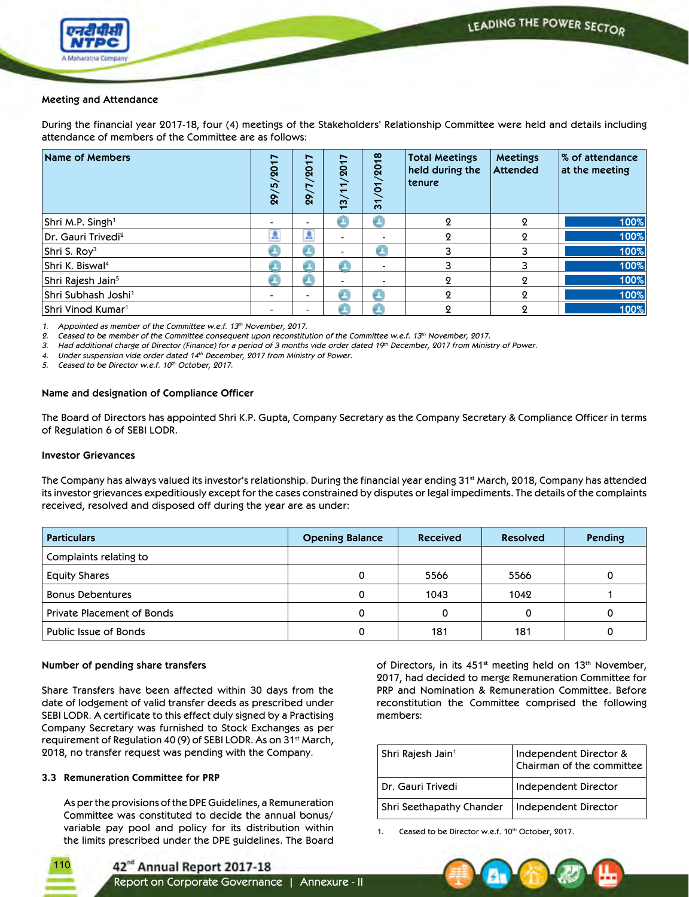

### **Meeting and Attendance**

During the financial year 2017-18, four (4) meetings of the Stakeholders' Relationship Committee were held and details including attendance of members of the Committee are as follows:

| Name of Members                 | 29/5/2017      | $\overline{ }$<br>$\overline{8}$<br>$\overline{8}$ | ↖<br>$\overline{\mathbf{S}}$<br>$\frac{1}{2}$<br>$\overline{\phantom{0}}$ | $\frac{8}{1}$<br>$\overline{S}$<br>5<br>$\overline{31}$ | Total Meetings<br>held during the<br>tenure | <b>Meetings</b><br><b>Attended</b> | ∣% of attendance<br>at the meeting |
|---------------------------------|----------------|----------------------------------------------------|---------------------------------------------------------------------------|---------------------------------------------------------|---------------------------------------------|------------------------------------|------------------------------------|
| Shri M.P. Singh <sup>1</sup>    | $\blacksquare$ |                                                    |                                                                           |                                                         | 9                                           | 9                                  | 100%                               |
| Dr. Gauri Trivedi <sup>2</sup>  | £              | å                                                  |                                                                           |                                                         | 9                                           | 9                                  | 100%                               |
| Shri S. Roy <sup>3</sup>        | e              | g.                                                 |                                                                           |                                                         |                                             |                                    | 100%                               |
| Shri K. Biswal <sup>4</sup>     | e              |                                                    |                                                                           |                                                         |                                             | 3                                  | 100%                               |
| Shri Rajesh Jain <sup>5</sup>   | Ø.             | 69                                                 | -                                                                         |                                                         | 9                                           | 9                                  | 100%                               |
| Shri Subhash Joshi <sup>1</sup> | $\blacksquare$ |                                                    |                                                                           |                                                         | 0                                           | 9                                  | 100%                               |
| Shri Vinod Kumar <sup>1</sup>   | $\,$           |                                                    |                                                                           |                                                         | Ω                                           | Ω                                  | 100%                               |

*1. Appointed as member of the Committee w.e.f. 13th November, 2017.* 

*2. Ceased to be member of the Committee consequent upon reconstitution of the Committee w.e.f. 13th November, 2017.* 

*3. Had additional charge of Director (Finance) for a period of 3 months vide order dated 19th December, 2017 from Ministry of Power.* 

*4. Under suspension vide order dated 14th December, 2017 from Ministry of Power.* 

*5. Ceased to be Director w.e.f. 10th October, 2017.*

### **Name and designation of Compliance Officer**

The Board of Directors has appointed Shri K.P. Gupta, Company Secretary as the Company Secretary & Compliance Officer in terms of Regulation 6 of SEBI LODR.

### **Investor Grievances**

The Company has always valued its investor's relationship. During the financial year ending 31<sup>st</sup> March, 2018, Company has attended its investor grievances expeditiously except for the cases constrained by disputes or legal impediments. The details of the complaints received, resolved and disposed off during the year are as under:

| <b>Particulars</b>                | <b>Opening Balance</b> | <b>Received</b> | <b>Resolved</b> | Pending |
|-----------------------------------|------------------------|-----------------|-----------------|---------|
| Complaints relating to            |                        |                 |                 |         |
| <b>Equity Shares</b>              |                        | 5566            | 5566            |         |
| <b>Bonus Debentures</b>           |                        | 1043            | 1042            |         |
| <b>Private Placement of Bonds</b> |                        |                 |                 |         |
| Public Issue of Bonds             |                        | 181             | 181             |         |

### **Number of pending share transfers**

Share Transfers have been affected within 30 days from the date of lodgement of valid transfer deeds as prescribed under SEBI LODR. A certificate to this effect duly signed by a Practising Company Secretary was furnished to Stock Exchanges as per requirement of Regulation 40 (9) of SEBI LODR. As on 31st March, 2018, no transfer request was pending with the Company.

### **3.3 Remuneration Committee for PRP**

110

 As per the provisions of the DPE Guidelines, a Remuneration Committee was constituted to decide the annual bonus/ variable pay pool and policy for its distribution within the limits prescribed under the DPE guidelines. The Board of Directors, in its 451<sup>st</sup> meeting held on 13<sup>th</sup> November, 2017, had decided to merge Remuneration Committee for PRP and Nomination & Remuneration Committee. Before reconstitution the Committee comprised the following members:

| Shri Rajesh Jain <sup>1</sup> | Independent Director &<br>Chairman of the committee |
|-------------------------------|-----------------------------------------------------|
| Dr. Gauri Trivedi             | Independent Director                                |
| Shri Seethapathy Chander      | Independent Director                                |

Ceased to be Director w.e.f. 10th October, 2017.



Report on Corporate Governance | Annexure - II

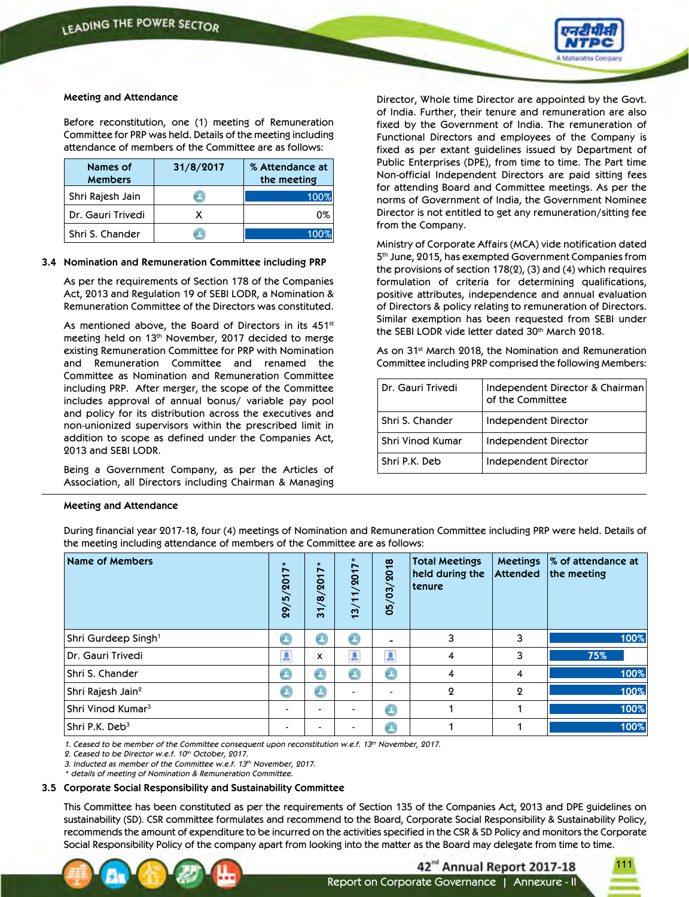

### **Meeting and Attendance**

 Before reconstitution, one (1) meeting of Remuneration Committee for PRP was held. Details of the meeting including attendance of members of the Committee are as follows:

| Names of<br><b>Members</b> | 31/8/2017 | % Attendance at<br>the meeting |
|----------------------------|-----------|--------------------------------|
| Shri Rajesh Jain           |           | 100%                           |
| Dr. Gauri Trivedi          |           | 0%                             |
| Shri S. Chander            |           | 100%                           |

### **3.4 Nomination and Remuneration Committee including PRP**

 As per the requirements of Section 178 of the Companies Act, 2013 and Regulation 19 of SEBI LODR, a Nomination & Remuneration Committee of the Directors was constituted.

As mentioned above, the Board of Directors in its 451st meeting held on 13<sup>th</sup> November, 2017 decided to merge existing Remuneration Committee for PRP with Nomination and Remuneration Committee and renamed the Committee as Nomination and Remuneration Committee including PRP. After merger, the scope of the Committee includes approval of annual bonus/ variable pay pool and policy for its distribution across the executives and non-unionized supervisors within the prescribed limit in addition to scope as defined under the Companies Act, 2013 and SEBI LODR.

 Being a Government Company, as per the Articles of Association, all Directors including Chairman & Managing

## Director, Whole time Director are appointed by the Govt. of India. Further, their tenure and remuneration are also fixed by the Government of India. The remuneration of Functional Directors and employees of the Company is fixed as per extant guidelines issued by Department of Public Enterprises (DPE), from time to time. The Part time Non-official Independent Directors are paid sitting fees for attending Board and Committee meetings. As per the norms of Government of India, the Government Nominee Director is not entitled to get any remuneration/sitting fee from the Company.

 Ministry of Corporate Affairs (MCA) vide notification dated 5th June, 2015, has exempted Government Companies from the provisions of section 178(2), (3) and (4) which requires formulation of criteria for determining qualifications, positive attributes, independence and annual evaluation of Directors & policy relating to remuneration of Directors. Similar exemption has been requested from SEBI under the SEBI LODR vide letter dated 30<sup>th</sup> March 2018.

As on 31<sup>st</sup> March 2018, the Nomination and Remuneration Committee including PRP comprised the following Members:

| Dr. Gauri Trivedi | Independent Director & Chairman<br>of the Committee |
|-------------------|-----------------------------------------------------|
| Shri S. Chander   | Independent Director                                |
| Shri Vinod Kumar  | Independent Director                                |
| Shri P.K. Deb     | Independent Director                                |

### **Meeting and Attendance**

 During financial year 2017-18, four (4) meetings of Nomination and Remuneration Committee including PRP were held. Details of the meeting including attendance of members of the Committee are as follows:

| Name of Members                 | 29/5/2017*     | $\overline{ }$<br>ᅮ<br>$\overline{Q}$<br>$\infty$<br>$\overline{31}$ | $\star$<br>$\overline{ }$<br>/201<br>13/11 | 03/2018<br>05/ | <b>Total Meetings</b><br>held during the<br>  tenure | <b>Meetings</b><br>Attended | % of attendance at<br>the meeting |
|---------------------------------|----------------|----------------------------------------------------------------------|--------------------------------------------|----------------|------------------------------------------------------|-----------------------------|-----------------------------------|
| Shri Gurdeep Singh <sup>1</sup> | e              | e                                                                    | æ.                                         | -              | 3                                                    | 3                           | 100%                              |
| Dr. Gauri Trivedi               | A              | x                                                                    | A                                          | $\Delta$       | 4                                                    | 3                           | 75%                               |
| Shri S. Chander                 | C              | ek,                                                                  |                                            | e              | 4                                                    | 4                           | 100%                              |
| Shri Rajesh Jain <sup>2</sup>   | C              | e                                                                    | -                                          |                | $\mathbf{Q}$                                         | $\Omega$                    | 100%                              |
| Shri Vinod Kumar <sup>3</sup>   | $\blacksquare$ |                                                                      | -                                          | Œ              |                                                      |                             | 100%                              |
| Shri P.K. Deb <sup>3</sup>      | $\blacksquare$ |                                                                      |                                            | e              |                                                      |                             | 100%                              |

*1. Ceased to be member of the Committee consequent upon reconstitution w.e.f. 13th November, 2017.* 

*2. Ceased to be Director w.e.f. 10th October, 2017.* 

*3. Inducted as member of the Committee w.e.f. 13th November, 2017.* 

*\* details of meeting of Nomination & Remuneration Committee.*

### **3.5 Corporate Social Responsibility and Sustainability Committee**

 This Committee has been constituted as per the requirements of Section 135 of the Companies Act, 2013 and DPE guidelines on sustainability (SD). CSR committee formulates and recommend to the Board, Corporate Social Responsibility & Sustainability Policy, recommends the amount of expenditure to be incurred on the activities specified in the CSR & SD Policy and monitors the Corporate Social Responsibility Policy of the company apart from looking into the matter as the Board may delegate from time to time.

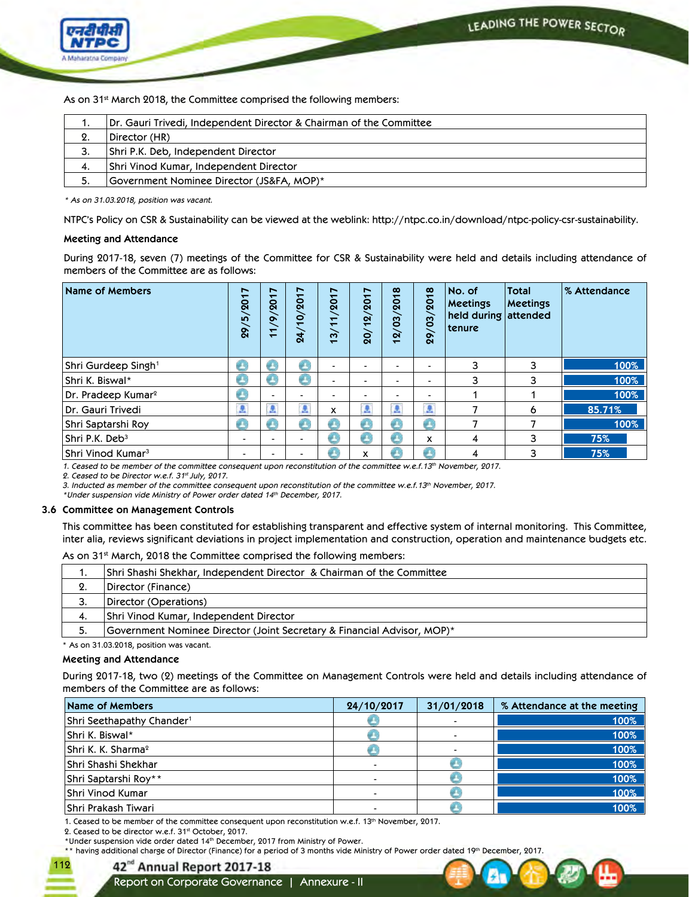

As on 31<sup>st</sup> March 2018, the Committee comprised the following members:

|    | Dr. Gauri Trivedi, Independent Director & Chairman of the Committee |
|----|---------------------------------------------------------------------|
| 2. | Director (HR)                                                       |
| 3. | Shri P.K. Deb, Independent Director                                 |
| 4. | Shri Vinod Kumar, Independent Director                              |
| 5. | Government Nominee Director (JS&FA, MOP)*                           |

*\* As on 31.03.2018, position was vacant.*

 NTPC's Policy on CSR & Sustainability can be viewed at the weblink: http://ntpc.co.in/download/ntpc-policy-csr-sustainability.

### **Meeting and Attendance**

 During 2017-18, seven (7) meetings of the Committee for CSR & Sustainability were held and details including attendance of members of the Committee are as follows:

| Name of Members                 | $\overline{ }$<br>5/201<br>29/ | ∼<br>$\mathbf{\hat{S}}$<br>$\infty$<br>$\Xi$ | $\overline{ }$<br>201<br>$\overline{p}$<br>$\overline{a}$ | ∼<br>/201<br>$\overline{\phantom{0}}$<br>$\overline{\phantom{0}}$<br>$\overline{13}$ | ∼<br>ᅮ<br>$\mathbf{\hat{g}}$<br>$\overline{a}$<br>$\overline{20}$ | $\infty$<br>$\overline{\phantom{0}}$<br>$\overline{a}$<br>$\mathbf{S}$<br>$\alpha$<br>$\overline{\phantom{0}}$ | $\infty$<br>201<br>$\overline{03}$<br>29/ | No. of<br><b>Meetings</b><br>held during attended<br>tenure | <b>Total</b><br>Meetings | % Attendance |
|---------------------------------|--------------------------------|----------------------------------------------|-----------------------------------------------------------|--------------------------------------------------------------------------------------|-------------------------------------------------------------------|----------------------------------------------------------------------------------------------------------------|-------------------------------------------|-------------------------------------------------------------|--------------------------|--------------|
| Shri Gurdeep Singh <sup>1</sup> |                                |                                              |                                                           |                                                                                      |                                                                   |                                                                                                                |                                           | 3                                                           | 3                        | 100%         |
| Shri K. Biswal*                 |                                |                                              |                                                           |                                                                                      |                                                                   | -                                                                                                              |                                           | 3                                                           | 3                        | 100%         |
| Dr. Pradeep Kumar <sup>2</sup>  |                                |                                              | -                                                         |                                                                                      |                                                                   | -                                                                                                              |                                           |                                                             |                          | 100%         |
| Dr. Gauri Trivedi               | £                              | £.                                           | £                                                         | x                                                                                    |                                                                   | £                                                                                                              | A                                         |                                                             | 6                        | 85.71%       |
| Shri Saptarshi Roy              |                                |                                              |                                                           |                                                                                      |                                                                   |                                                                                                                |                                           |                                                             |                          | 100%         |
| Shri P.K. Deb <sup>3</sup>      | $\blacksquare$                 |                                              |                                                           | v                                                                                    |                                                                   | æ                                                                                                              | x                                         | 4                                                           | 3                        | 75%          |
| $\sf Shri$ Vinod Kumar $^3$     | -                              |                                              |                                                           |                                                                                      | x                                                                 |                                                                                                                |                                           | 4                                                           | 3                        | 75%          |

*1. Ceased to be member of the committee consequent upon reconstitution of the committee w.e.f.13th November, 2017.* 

*2. Ceased to be Director w.e.f. 31st July, 2017.* 

*3. Inducted as member of the committee consequent upon reconstitution of the committee w.e.f.13th November, 2017.* 

*\*Under suspension vide Ministry of Power order dated 14th December, 2017.*

### **3.6 Committee on Management Controls**

 This committee has been constituted for establishing transparent and effective system of internal monitoring. This Committee, inter alia, reviews significant deviations in project implementation and construction, operation and maintenance budgets etc.

As on 31<sup>st</sup> March, 2018 the Committee comprised the following members:

| . . | Shri Shashi Shekhar, Independent Director  & Chairman of the Committee  |
|-----|-------------------------------------------------------------------------|
| 2.  | Director (Finance)                                                      |
| 3.  | Director (Operations)                                                   |
| -4. | Shri Vinod Kumar, Independent Director                                  |
|     | Government Nominee Director (Joint Secretary & Financial Advisor, MOP)* |
|     |                                                                         |

\* As on 31.03.2018, position was vacant.

### **Meeting and Attendance**

During 2017-18, two (2) meetings of the Committee on Management Controls were held and details including attendance of members of the Committee are as follows:

| Name of Members                       | 24/10/2017 | 31/01/2018     | % Attendance at the meeting |
|---------------------------------------|------------|----------------|-----------------------------|
| Shri Seethapathy Chander <sup>1</sup> |            | $\blacksquare$ | 100%                        |
| Shri K. Biswal*                       |            | $\blacksquare$ | 100%                        |
| Shri K. K. Sharma <sup>2</sup>        |            | $\blacksquare$ | 100%                        |
| Shri Shashi Shekhar                   |            |                | 100%                        |
| Shri Saptarshi Roy**                  |            |                | 100%                        |
| <b>Shri Vinod Kumar</b>               |            |                | 100%                        |
| <b>Shri Prakash Tiwari</b>            |            |                | 100%                        |

1. Ceased to be member of the committee consequent upon reconstitution w.e.f. 13th November, 2017.

2. Ceased to be director w.e.f. 31st October, 2017.

\*Under suspension vide order dated 14th December, 2017 from Ministry of Power.

\*\* having additional charge of Director (Finance) for a period of 3 months vide Ministry of Power order dated 19th December, 2017.



112

Report on Corporate Governance | Annexure - II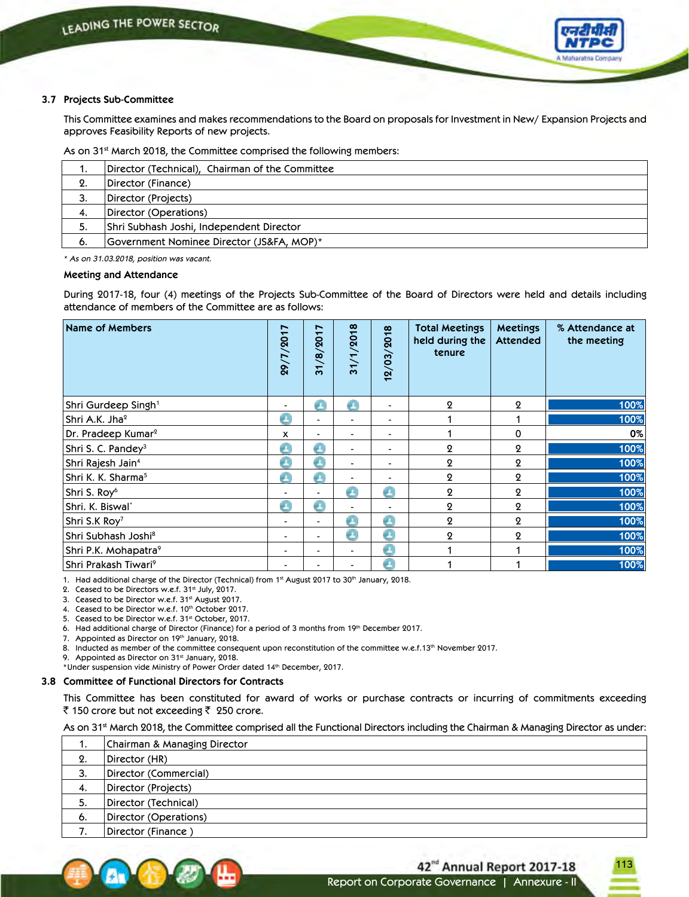

### **3.7 Projects Sub-Committee**

 This Committee examines and makes recommendations to the Board on proposals for Investment in New/ Expansion Projects and approves Feasibility Reports of new projects.

As on 31<sup>st</sup> March 2018, the Committee comprised the following members:

| ٠.  | Director (Technical), Chairman of the Committee |
|-----|-------------------------------------------------|
| 2.  | Director (Finance)                              |
| 3.  | Director (Projects)                             |
| -4. | Director (Operations)                           |
| 5.  | Shri Subhash Joshi, Independent Director        |
| 6.  | Government Nominee Director (JS&FA, MOP)*       |

*\* As on 31.03.2018, position was vacant.*

### **Meeting and Attendance**

During 2017-18, four (4) meetings of the Projects Sub-Committee of the Board of Directors were held and details including attendance of members of the Committee are as follows:

| Name of Members                  | 29/7/2017      | 31/8/2017 | 31/1/2018                | 12/03/2018               | <b>Total Meetings</b><br>held during the<br>tenure | <b>Meetings</b><br><b>Attended</b> | % Attendance at<br>the meeting |
|----------------------------------|----------------|-----------|--------------------------|--------------------------|----------------------------------------------------|------------------------------------|--------------------------------|
| Shri Gurdeep Singh <sup>1</sup>  | $\blacksquare$ | æт        | æτ                       | -                        | $\Omega$                                           | $\boldsymbol{2}$                   | 100%                           |
| Shri A.K. Jha <sup>2</sup>       | e              |           |                          | -                        |                                                    |                                    | 100%                           |
| Dr. Pradeep Kumar <sup>2</sup>   | x              |           |                          |                          |                                                    | 0                                  | 0%                             |
| Shri S. C. Pandey <sup>3</sup>   | B              | gr.       | $\overline{\phantom{0}}$ | $\overline{\phantom{0}}$ | $\boldsymbol{2}$                                   | $\boldsymbol{2}$                   | 100%                           |
| Shri Rajesh Jain <sup>4</sup>    | €              | Œ         | $\blacksquare$           | $\overline{\phantom{0}}$ | $\mathbf{Q}$                                       | $\boldsymbol{2}$                   | 100%                           |
| Shri K. K. Sharma <sup>5</sup>   | æ              | a.        |                          | ۰.                       | $\boldsymbol{2}$                                   | $\boldsymbol{2}$                   | 100%                           |
| Shri S. Roy <sup>6</sup>         |                |           | a e                      | A                        | $\mathbf{Q}$                                       | $\boldsymbol{2}$                   | 100%                           |
| Shri. K. Biswal'                 |                | æτ        |                          |                          | $\mathbf{Q}$                                       | $\boldsymbol{\Omega}$              | 100%                           |
| Shri S.K Roy <sup>7</sup>        | $\blacksquare$ |           |                          | úП,                      | $\mathbf{Q}$                                       | $\boldsymbol{2}$                   | 100%                           |
| Shri Subhash Joshi <sup>8</sup>  | $\blacksquare$ |           | e.                       | G                        | $\boldsymbol{2}$                                   | $\boldsymbol{2}$                   | 100%                           |
| Shri P.K. Mohapatra <sup>9</sup> | $\blacksquare$ |           | $\overline{\phantom{0}}$ | G                        |                                                    |                                    | 100%                           |
| Shri Prakash Tiwari <sup>9</sup> | $\blacksquare$ |           | $\overline{\phantom{0}}$ | úП,                      |                                                    |                                    | 100%                           |

1. Had additional charge of the Director (Technical) from 1st August 2017 to 30<sup>th</sup> January, 2018.

2. Ceased to be Directors w.e.f. 31st July, 2017.

3. Ceased to be Director w.e.f. 31st August 2017.

4. Ceased to be Director w.e.f. 10th October 2017.

5. Ceased to be Director w.e.f. 31st October, 2017.

6. Had additional charge of Director (Finance) for a period of 3 months from 19th December 2017.

7. Appointed as Director on 19th January, 2018.

8. Inducted as member of the committee consequent upon reconstitution of the committee w.e.f.13th November 2017.

9. Appointed as Director on 31<sup>st</sup> January, 2018.

\*Under suspension vide Ministry of Power Order dated 14th December, 2017.

### **3.8 Committee of Functional Directors for Contracts**

 This Committee has been constituted for award of works or purchase contracts or incurring of commitments exceeding ₹ 150 crore but not exceeding  $\bar{z}$  250 crore.

As on 31<sup>st</sup> March 2018, the Committee comprised all the Functional Directors including the Chairman & Managing Director as under:

| 1. | Chairman & Managing Director |
|----|------------------------------|
| 2. | Director (HR)                |
| 3. | Director (Commercial)        |
| 4. | Director (Projects)          |
| 5. | Director (Technical)         |
| 6. | Director (Operations)        |
|    | Director (Finance)           |

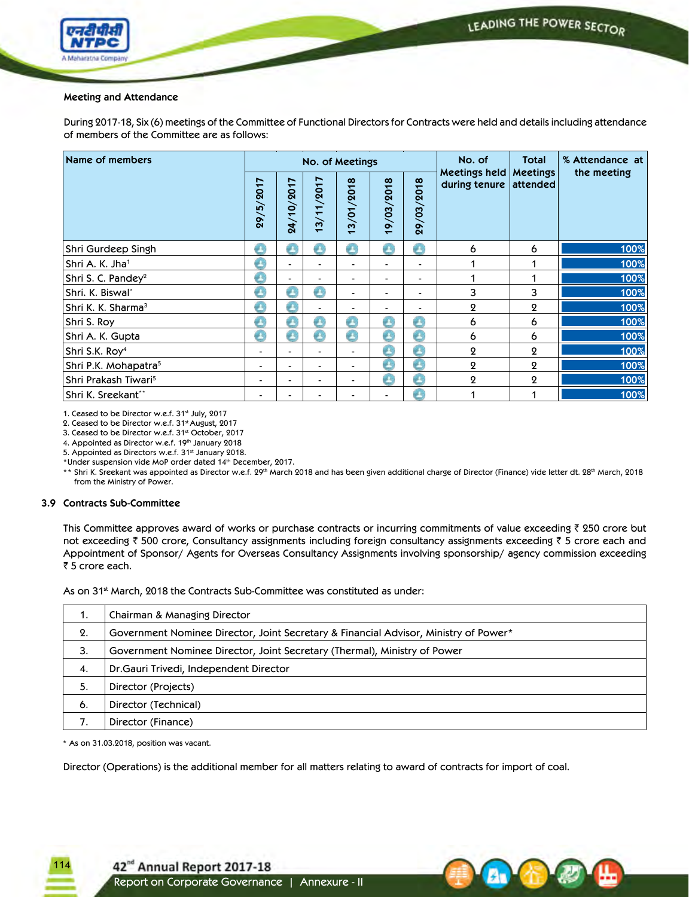

### **Meeting and Attendance**

 During 2017-18, Six (6) meetings of the Committee of Functional Directors for Contracts were held and details including attendance of members of the Committee are as follows:

| Name of members                  |                          |            |            | No. of Meetings                                   |                              |                          | No. of                         | <b>Total</b>                | % Attendance at |
|----------------------------------|--------------------------|------------|------------|---------------------------------------------------|------------------------------|--------------------------|--------------------------------|-----------------------------|-----------------|
|                                  | 29/5/2017                | 24/10/2017 | 13/11/2017 | /01/2018<br>$\boldsymbol{\omega}$<br>$\mathbf{r}$ | 19/03/2018                   | 29/03/2018               | Meetings held<br>during tenure | <b>Meetings</b><br>attended | the meeting     |
| Shri Gurdeep Singh               | Ø                        | e          | Ø          | Ø                                                 | Ø                            | O                        | 6                              | 6                           | 100%            |
| Shri A. K. Jha <sup>1</sup>      | B                        |            |            |                                                   |                              |                          |                                |                             | 100%            |
| Shri S. C. Pandey <sup>2</sup>   | B                        | -          |            | $\blacksquare$                                    | $\blacksquare$               |                          |                                |                             | 100%            |
| Shri. K. Biswal <sup>*</sup>     | $\bullet$                | Ø          | O          | $\blacksquare$                                    | $\blacksquare$               | $\overline{\phantom{0}}$ | 3                              | 3                           | 100%            |
| Shri K. K. Sharma <sup>3</sup>   | B                        | A          |            | $\blacksquare$                                    | $\qquad \qquad \blacksquare$ |                          | $\mathbf{Q}$                   | 2                           | 100%            |
| Shri S. Roy                      | p.                       | g e        | ø.         | a c                                               | <b>Co</b>                    | £                        | 6                              | 6                           | 100%            |
| Shri A. K. Gupta                 | €                        | B          | €          | Œ                                                 | e                            | e                        | 6                              | 6                           | 100%            |
| Shri S.K. Roy <sup>4</sup>       | -                        |            |            |                                                   | a v                          | O                        | 2                              | 2                           | 100%            |
| Shri P.K. Mohapatra <sup>5</sup> | $\overline{\phantom{0}}$ | -          |            | $\blacksquare$                                    | O                            | O                        | $\mathbf{Q}$                   | $\overline{2}$              | 100%            |
| Shri Prakash Tiwari <sup>5</sup> | $\overline{\phantom{0}}$ | -          |            | $\blacksquare$                                    | €                            | O                        | $\mathbf{Q}$                   | 2                           | 100%            |
| Shri K. Sreekant**               |                          |            |            |                                                   | $\blacksquare$               | e                        |                                |                             | 100%            |

1. Ceased to be Director w.e.f. 31st July, 2017

2. Ceased to be Director w.e.f. 31st August, 2017

3. Ceased to be Director w.e.f. 31st October, 2017

4. Appointed as Director w.e.f. 19th January 2018

5. Appointed as Directors w.e.f. 31st January 2018.

\*Under suspension vide MoP order dated 14th December, 2017.

\*\* Shri K. Sreekant was appointed as Director w.e.f. 29<sup>th</sup> March 2018 and has been given additional charge of Director (Finance) vide letter dt. 28<sup>th</sup> March, 2018 from the Ministry of Power.

### **3.9 Contracts Sub-Committee**

This Committee approves award of works or purchase contracts or incurring commitments of value exceeding  $\bar{\tau}$  250 crore but not exceeding  $\bar{\tau}$  500 crore, Consultancy assignments including foreign consultancy assignments exceeding  $\bar{\tau}$  5 crore each and Appointment of Sponsor/ Agents for Overseas Consultancy Assignments involving sponsorship/ agency commission exceeding ₹ 5 crore each.

As on 31<sup>st</sup> March, 2018 the Contracts Sub-Committee was constituted as under:

| Chairman & Managing Director                                                         |
|--------------------------------------------------------------------------------------|
| Government Nominee Director, Joint Secretary & Financial Advisor, Ministry of Power* |
| Government Nominee Director, Joint Secretary (Thermal), Ministry of Power            |
| Dr. Gauri Trivedi, Independent Director                                              |
| Director (Projects)                                                                  |
| Director (Technical)                                                                 |
| Director (Finance)                                                                   |
|                                                                                      |

\* As on 31.03.2018, position was vacant.

114

Director (Operations) is the additional member for all matters relating to award of contracts for import of coal.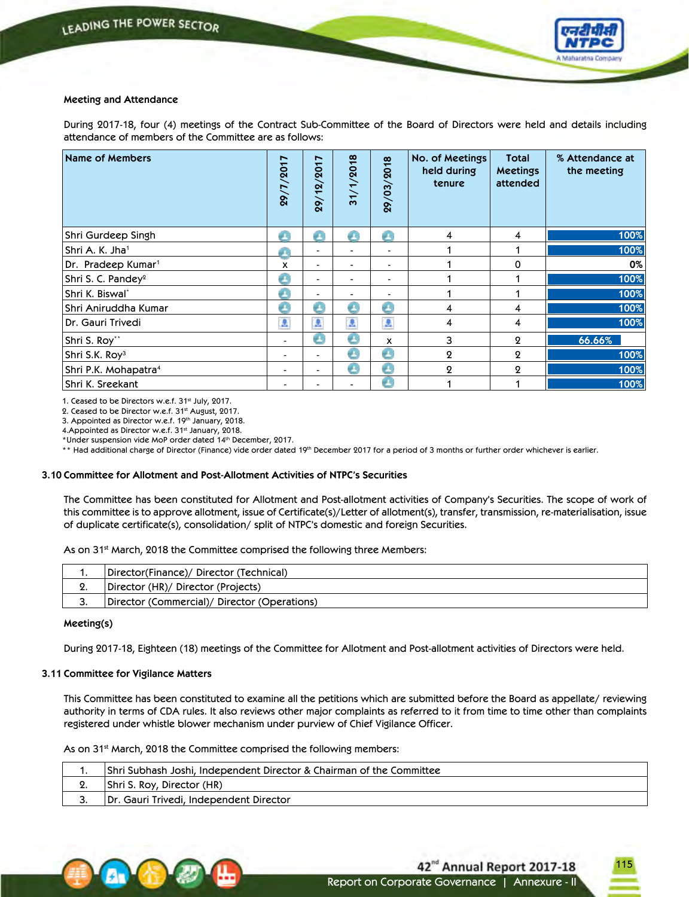

### **Meeting and Attendance**

 During 2017-18, four (4) meetings of the Contract Sub-Committee of the Board of Directors were held and details including attendance of members of the Committee are as follows:

| Name of Members                  | 29/7/2017      | /2017<br>29/12 | 31/1/2018                | 29/03/2018 | No. of Meetings<br>held during<br>tenure | <b>Total</b><br><b>Meetings</b><br>attended | % Attendance at<br>the meeting |
|----------------------------------|----------------|----------------|--------------------------|------------|------------------------------------------|---------------------------------------------|--------------------------------|
| Shri Gurdeep Singh               | A              | an a           | a n                      | Ø.         | 4                                        | 4                                           | 100%                           |
| Shri A. K. Jha <sup>1</sup>      | A              |                |                          |            |                                          |                                             | 100%                           |
| Dr. Pradeep Kumar <sup>1</sup>   | x              |                |                          |            |                                          | 0                                           | $0\%$                          |
| Shri S. C. Pandey <sup>2</sup>   | O              | $\blacksquare$ |                          |            |                                          |                                             | 100%                           |
| Shri K. Biswal*                  | O              |                | $\overline{\phantom{0}}$ | -          |                                          |                                             | 100%                           |
| Shri Aniruddha Kumar             | O              | Œ              | e                        | e          | 4                                        | 4                                           | 100%                           |
| Dr. Gauri Trivedi                | 圆              | A              | A                        | a          | 4                                        | 4                                           | 100%                           |
| Shri S. Roy**                    | $\blacksquare$ | Ð              | e                        | x          | 3                                        | $\mathbf{Q}$                                | 66.66%                         |
| Shri S.K. Roy <sup>3</sup>       | $\blacksquare$ |                |                          | e          | $\mathbf 2$                              | $\boldsymbol{2}$                            | 100%                           |
| Shri P.K. Mohapatra <sup>4</sup> | $\blacksquare$ |                | e                        | e          | $\mathbf 2$                              | $\mathbf 2$                                 | 100%                           |
| Shri K. Sreekant                 | $\blacksquare$ |                | $\overline{\phantom{0}}$ | e          |                                          |                                             | 100%                           |

1. Ceased to be Directors w.e.f. 31st July, 2017.

2. Ceased to be Director w.e.f. 31st August, 2017.

3. Appointed as Director w.e.f. 19th January, 2018.

4. Appointed as Director w.e.f. 31st January, 2018.

\*Under suspension vide MoP order dated 14<sup>th</sup> December, 2017.

\*\* Had additional charge of Director (Finance) vide order dated 19th December 2017 for a period of 3 months or further order whichever is earlier.

### **3.10 Committee for Allotment and Post-Allotment Activities of NTPC's Securities**

The Committee has been constituted for Allotment and Post-allotment activities of Company's Securities. The scope of work of this committee is to approve allotment, issue of Certificate(s)/Letter of allotment(s), transfer, transmission, re-materialisation, issue of duplicate certificate(s), consolidation/ split of NTPC's domestic and foreign Securities.

As on 31<sup>st</sup> March, 2018 the Committee comprised the following three Members:

|    | Director(Finance)/ Director (Technical)      |
|----|----------------------------------------------|
| L. | Director (HR)/ Director (Projects)           |
|    | Director (Commercial)/ Director (Operations) |

### **Meeting(s)**

During 2017-18, Eighteen (18) meetings of the Committee for Allotment and Post-allotment activities of Directors were held.

### **3.11 Committee for Vigilance Matters**

 This Committee has been constituted to examine all the petitions which are submitted before the Board as appellate/ reviewing authority in terms of CDA rules. It also reviews other major complaints as referred to it from time to time other than complaints registered under whistle blower mechanism under purview of Chief Vigilance Officer.

As on 31<sup>st</sup> March, 2018 the Committee comprised the following members:

|    | Shri Subhash Joshi, Independent Director & Chairman of the Committee |
|----|----------------------------------------------------------------------|
| ź٠ | Shri S. Roy, Director (HR)                                           |
|    | Dr. Gauri Trivedi, Independent Director                              |



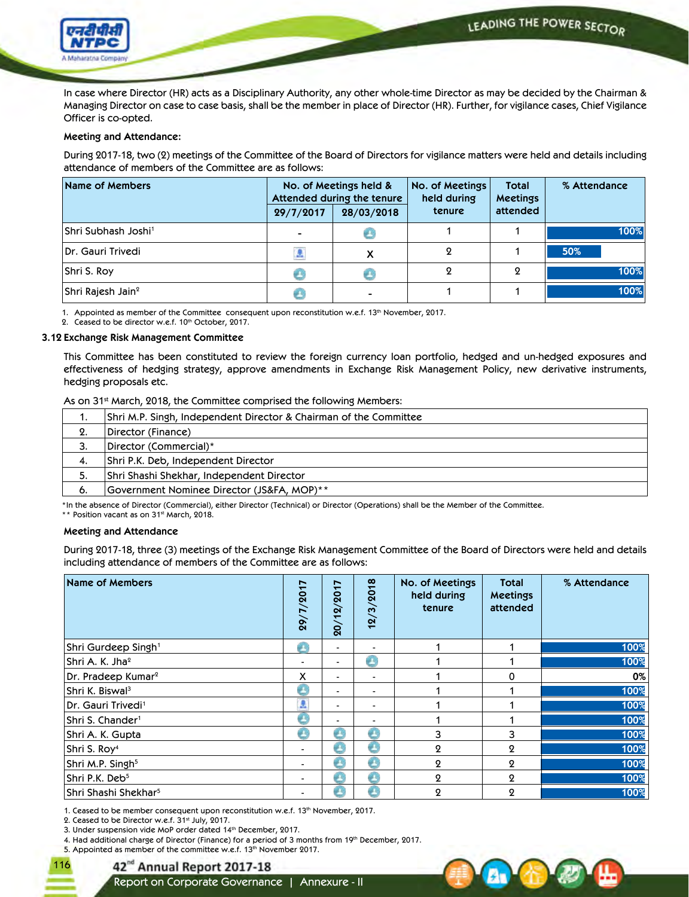LEADING THE POWER SECTOR



 In case where Director (HR) acts as a Disciplinary Authority, any other whole-time Director as may be decided by the Chairman & Managing Director on case to case basis, shall be the member in place of Director (HR). Further, for vigilance cases, Chief Vigilance Officer is co-opted.

### **Meeting and Attendance:**

 During 2017-18, two (2) meetings of the Committee of the Board of Directors for vigilance matters were held and details including attendance of members of the Committee are as follows:

| Name of Members                 |                          | No. of Meetings held &<br>Attended during the tenure | No. of Meetings<br>held during | <b>Total</b><br><b>Meetings</b> | % Attendance |
|---------------------------------|--------------------------|------------------------------------------------------|--------------------------------|---------------------------------|--------------|
|                                 | 29/7/2017                | 28/03/2018                                           | tenure                         | attended                        |              |
| Shri Subhash Joshi <sup>1</sup> | $\overline{\phantom{0}}$ |                                                      |                                |                                 | 100%         |
| Dr. Gauri Trivedi               | A                        |                                                      |                                |                                 | 50%          |
| Shri S. Roy                     |                          |                                                      |                                |                                 | 100%         |
| Shri Rajesh Jain <sup>2</sup>   |                          | ۰.                                                   |                                |                                 | 100%         |

1. Appointed as member of the Committee consequent upon reconstitution w.e.f. 13<sup>th</sup> November, 2017.

2. Ceased to be director w.e.f. 10th October, 2017.

#### **3.12 Exchange Risk Management Committee**

 This Committee has been constituted to review the foreign currency loan portfolio, hedged and un-hedged exposures and effectiveness of hedging strategy, approve amendments in Exchange Risk Management Policy, new derivative instruments, hedging proposals etc.

### As on 31<sup>st</sup> March, 2018, the Committee comprised the following Members:

| . . | Shri M.P. Singh, Independent Director & Chairman of the Committee |
|-----|-------------------------------------------------------------------|
| 2.  | Director (Finance)                                                |
| 3.  | Director (Commercial)*                                            |
| 4.  | Shri P.K. Deb, Independent Director                               |
| -5. | Shri Shashi Shekhar, Independent Director                         |
| 6.  | Government Nominee Director (JS&FA, MOP)**                        |

\*In the absence of Director (Commercial), either Director (Technical) or Director (Operations) shall be the Member of the Committee.

\*\* Position vacant as on 31<sup>st</sup> March, 2018.

### **Meeting and Attendance**

During 2017-18, three (3) meetings of the Exchange Risk Management Committee of the Board of Directors were held and details including attendance of members of the Committee are as follows:

| Name of Members                  | 29/7/2017      | $\overline{\phantom{a}}$<br>201<br>$\alpha$<br>$\overline{20}$ | 12/3/2018                | No. of Meetings<br>held during<br>tenure | <b>Total</b><br><b>Meetings</b><br>attended | % Attendance |
|----------------------------------|----------------|----------------------------------------------------------------|--------------------------|------------------------------------------|---------------------------------------------|--------------|
| $ $ Shri Gurdeep Singh $^1$      | £              | $\overline{\phantom{0}}$                                       | $\overline{\phantom{0}}$ |                                          |                                             | 100%         |
| Shri A. K. Jhaº                  |                |                                                                | e                        |                                          |                                             | 100%         |
| $ Dr.$ Pradeep Kumar $2$         | x              | -                                                              | $\overline{\phantom{0}}$ |                                          | 0                                           | $0\%$        |
| Shri K. Biswal <sup>3</sup>      | c              |                                                                | $\overline{\phantom{0}}$ |                                          |                                             | 100%         |
| Dr. Gauri Trivedi <sup>1</sup>   | A              |                                                                | $\blacksquare$           |                                          |                                             | 100%         |
| Shri S. Chander <sup>1</sup>     | $\bullet$      |                                                                | $\overline{\phantom{0}}$ |                                          |                                             | 100%         |
| Shri A. K. Gupta                 | e              |                                                                | e                        | 3                                        | 3                                           | 100%         |
| Shri S. Roy <sup>4</sup>         | $\blacksquare$ |                                                                | e                        | $\mathbf 2$                              | ջ                                           | 100%         |
| Shri M.P. Singh <sup>5</sup>     | $\blacksquare$ | æ                                                              | g.                       | $\overline{2}$                           | 9                                           | 100%         |
| Shri P.K. Deb <sup>5</sup>       | $\blacksquare$ | an.                                                            | a.                       | $\mathbf 2$                              | ջ                                           | 100%         |
| Shri Shashi Shekhar <sup>5</sup> | $\blacksquare$ |                                                                | gr.                      | 9                                        | Ω                                           | 100%         |

1. Ceased to be member consequent upon reconstitution w.e.f. 13<sup>th</sup> November, 2017.

2. Ceased to be Director w.e.f. 31st July, 2017.

116

3. Under suspension vide MoP order dated 14th December, 2017.

4. Had additional charge of Director (Finance) for a period of 3 months from 19th December, 2017.

5. Appointed as member of the committee w.e.f. 13<sup>th</sup> November 2017.

# 42<sup>nd</sup> Annual Report 2017-18

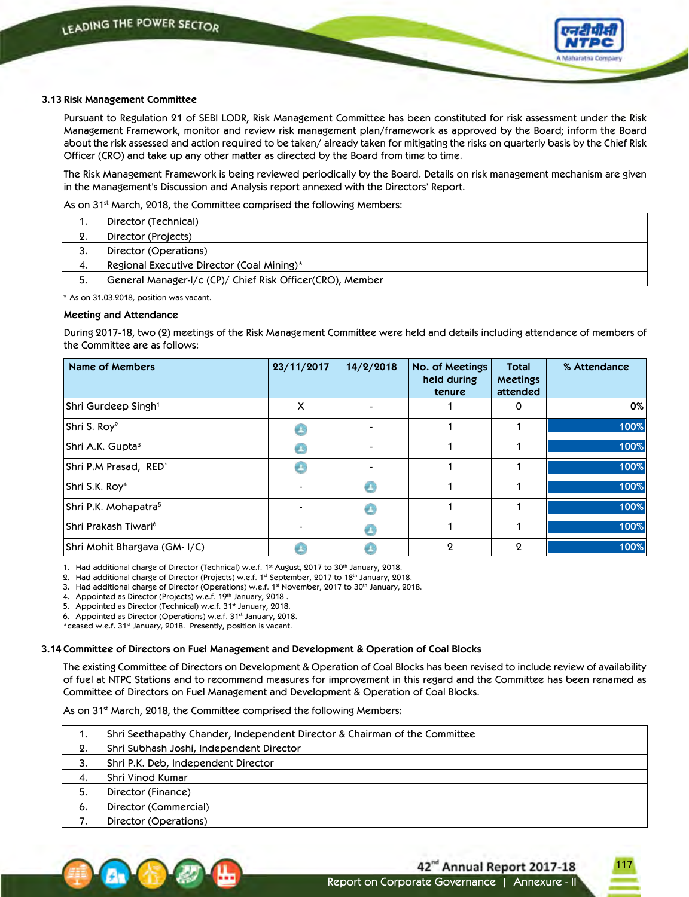

### **3.13 Risk Management Committee**

 Pursuant to Regulation 21 of SEBI LODR, Risk Management Committee has been constituted for risk assessment under the Risk Management Framework, monitor and review risk management plan/framework as approved by the Board; inform the Board about the risk assessed and action required to be taken/ already taken for mitigating the risks on quarterly basis by the Chief Risk Officer (CRO) and take up any other matter as directed by the Board from time to time.

 The Risk Management Framework is being reviewed periodically by the Board. Details on risk management mechanism are given in the Management's Discussion and Analysis report annexed with the Directors' Report.

As on 31<sup>st</sup> March, 2018, the Committee comprised the following Members:

|            | Director (Technical)                                      |
|------------|-----------------------------------------------------------|
| <b>L</b> . | Director (Projects)                                       |
| 3.         | Director (Operations)                                     |
| -4.        | Regional Executive Director (Coal Mining)*                |
| J.         | General Manager-I/c (CP)/ Chief Risk Officer(CRO), Member |

\* As on 31.03.2018, position was vacant.

### **Meeting and Attendance**

During 2017-18, two (2) meetings of the Risk Management Committee were held and details including attendance of members of the Committee are as follows:

| <b>Name of Members</b>           | 23/11/2017     | 14/2/2018 | No. of Meetings<br>held during<br>tenure | <b>Total</b><br><b>Meetings</b><br>attended | % Attendance |
|----------------------------------|----------------|-----------|------------------------------------------|---------------------------------------------|--------------|
| Shri Gurdeep Singh <sup>1</sup>  | X              |           |                                          | 0                                           | $0\%$        |
| Shri S. Roy <sup>2</sup>         |                |           |                                          |                                             | 100%         |
| Shri A.K. Gupta <sup>3</sup>     |                |           |                                          |                                             | 100%         |
| Shri P.M Prasad, RED*            |                |           |                                          |                                             | 100%         |
| Shri S.K. Roy <sup>4</sup>       |                |           |                                          |                                             | 100%         |
| Shri P.K. Mohapatra <sup>5</sup> | $\overline{a}$ |           |                                          |                                             | 100%         |
| Shri Prakash Tiwari <sup>6</sup> |                |           |                                          |                                             | 100%         |
| Shri Mohit Bhargava (GM-I/C)     |                |           | $\mathbf 2$                              | $\Omega$                                    | 100%         |

1. Had additional charge of Director (Technical) w.e.f. 1<sup>st</sup> August, 2017 to 30<sup>th</sup> January, 2018.

2. Had additional charge of Director (Projects) w.e.f. 1st September, 2017 to 18th January, 2018.

3. Had additional charge of Director (Operations) w.e.f. 1st November, 2017 to 30<sup>th</sup> January, 2018.

4. Appointed as Director (Projects) w.e.f. 19th January, 2018.

5. Appointed as Director (Technical) w.e.f. 31st January, 2018.

6. Appointed as Director (Operations) w.e.f. 31<sup>st</sup> January, 2018.

\*ceased w.e.f. 31st January, 2018. Presently, position is vacant.

### **3.14 Committee of Directors on Fuel Management and Development & Operation of Coal Blocks**

 The existing Committee of Directors on Development & Operation of Coal Blocks has been revised to include review of availability of fuel at NTPC Stations and to recommend measures for improvement in this regard and the Committee has been renamed as Committee of Directors on Fuel Management and Development & Operation of Coal Blocks.

As on  $31<sup>st</sup>$  March, 2018, the Committee comprised the following Members:

| . . | Shri Seethapathy Chander, Independent Director & Chairman of the Committee |
|-----|----------------------------------------------------------------------------|
| 2.  | Shri Subhash Joshi, Independent Director                                   |
| 3.  | Shri P.K. Deb, Independent Director                                        |
| 4.  | Shri Vinod Kumar                                                           |
| 5.  | Director (Finance)                                                         |
| 6.  | Director (Commercial)                                                      |
| 7.  | Director (Operations)                                                      |
|     |                                                                            |

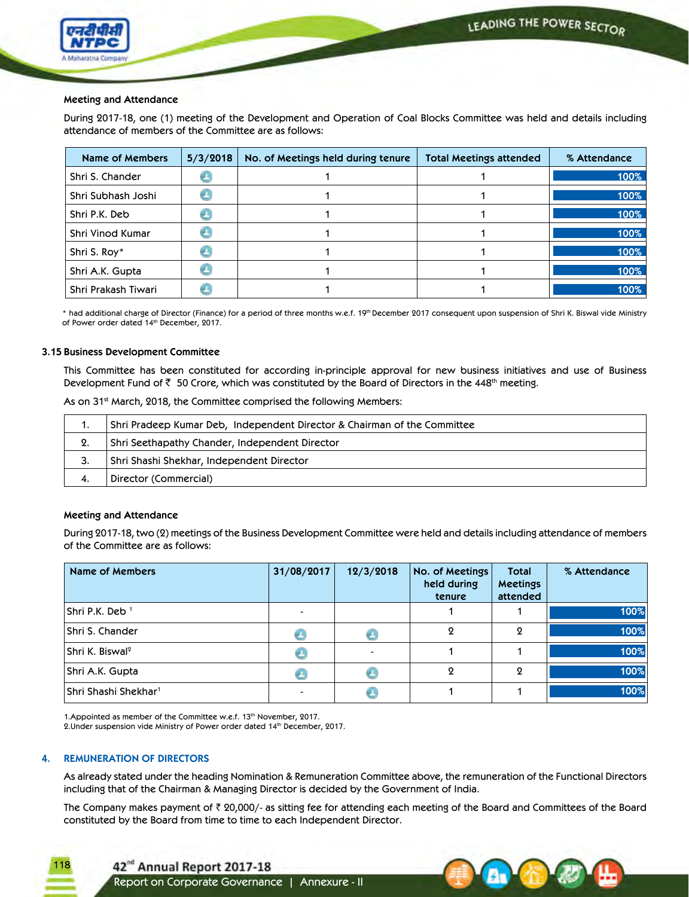

### **Meeting and Attendance**

During 2017-18, one (1) meeting of the Development and Operation of Coal Blocks Committee was held and details including attendance of members of the Committee are as follows:

| Name of Members     | 5/3/2018 | No. of Meetings held during tenure | Total Meetings attended | % Attendance |
|---------------------|----------|------------------------------------|-------------------------|--------------|
| Shri S. Chander     |          |                                    |                         | 100%         |
| Shri Subhash Joshi  |          |                                    |                         | 100%         |
| Shri P.K. Deb       |          |                                    |                         | 100%         |
| Shri Vinod Kumar    |          |                                    |                         | 100%         |
| Shri S. Roy*        |          |                                    |                         | 100%         |
| Shri A.K. Gupta     |          |                                    |                         | 100%         |
| Shri Prakash Tiwari |          |                                    |                         | 100%         |

\* had additional charge of Director (Finance) for a period of three months w.e.f. 19th December 2017 consequent upon suspension of Shri K. Biswal vide Ministry of Power order dated 14th December, 2017.

### **3.15 Business Development Committee**

This Committee has been constituted for according in-principle approval for new business initiatives and use of Business Development Fund of  $\bar{\tau}$  50 Crore, which was constituted by the Board of Directors in the 448<sup>th</sup> meeting.

As on 31<sup>st</sup> March, 2018, the Committee comprised the following Members:

| . . | Shri Pradeep Kumar Deb, Independent Director & Chairman of the Committee |
|-----|--------------------------------------------------------------------------|
| 2.  | Shri Seethapathy Chander, Independent Director                           |
| З.  | Shri Shashi Shekhar, Independent Director                                |
| 4.  | Director (Commercial)                                                    |

### **Meeting and Attendance**

 During 2017-18, two (2) meetings of the Business Development Committee were held and details including attendance of members of the Committee are as follows:

| Name of Members                  | 31/08/2017 | 12/3/2018 | No. of Meetings<br>held during<br>tenure | <b>Total</b><br><b>Meetings</b><br>attended | % Attendance |
|----------------------------------|------------|-----------|------------------------------------------|---------------------------------------------|--------------|
| Shri P.K. Deb <sup>1</sup>       |            |           |                                          |                                             | 100%         |
| Shri S. Chander                  |            |           | 9                                        | 2                                           | 100%         |
| Shri K. Biswal <sup>2</sup>      |            |           |                                          |                                             | 100%         |
| Shri A.K. Gupta                  |            |           | 9                                        | 9                                           | 100%         |
| Shri Shashi Shekhar <sup>1</sup> |            |           |                                          |                                             | 100%         |

1. Appointed as member of the Committee w.e.f. 13<sup>th</sup> November, 2017. 2.Under suspension vide Ministry of Power order dated 14th December, 2017.

### **4. REMUNERATION OF DIRECTORS**

118

 As already stated under the heading Nomination & Remuneration Committee above, the remuneration of the Functional Directors including that of the Chairman & Managing Director is decided by the Government of India.

The Company makes payment of  $\bar{\tau}$  20,000/- as sitting fee for attending each meeting of the Board and Committees of the Board constituted by the Board from time to time to each Independent Director.



42<sup>nd</sup> Annual Report 2017-18 Report on Corporate Governance | Annexure - II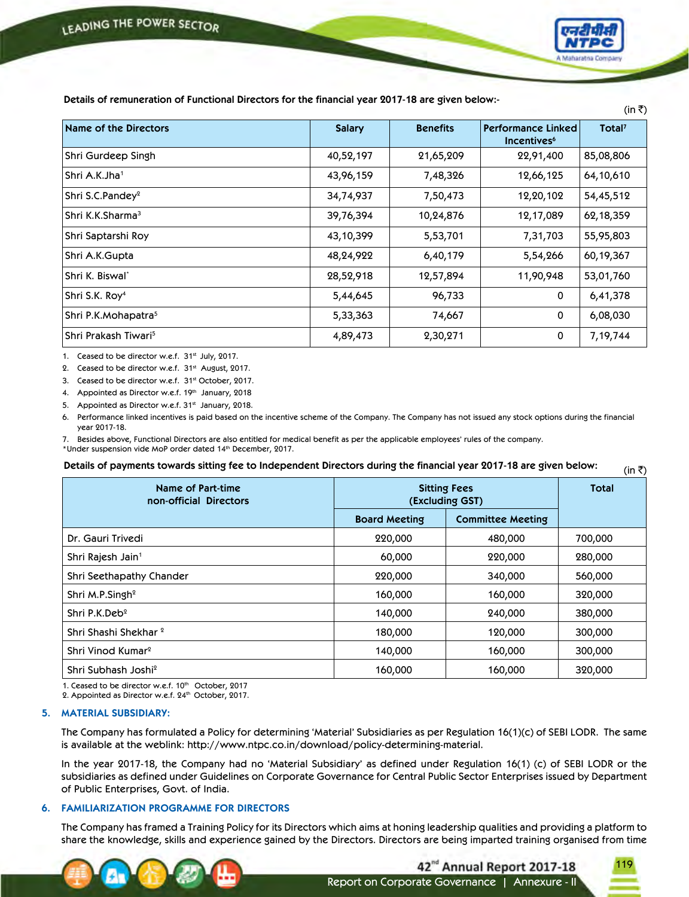

 $(in \overline{\tau})$ 

 **Details of remuneration of Functional Directors for the financial year 2017-18 are given below:-**

| (in ₹)                           |               |                 |                                                      |                    |  |  |  |
|----------------------------------|---------------|-----------------|------------------------------------------------------|--------------------|--|--|--|
| Name of the Directors            | <b>Salary</b> | <b>Benefits</b> | <b>Performance Linked</b><br>Incentives <sup>6</sup> | Total <sup>7</sup> |  |  |  |
| Shri Gurdeep Singh               | 40,52,197     | 21,65,209       | 22,91,400                                            | 85,08,806          |  |  |  |
| Shri A.K.Jha <sup>1</sup>        | 43,96,159     | 7,48,326        | 12,66,125                                            | 64,10,610          |  |  |  |
| Shri S.C.Pandey <sup>2</sup>     | 34,74,937     | 7,50,473        | 12,20,102                                            | 54,45,512          |  |  |  |
| Shri K.K.Sharma <sup>3</sup>     | 39,76,394     | 10,24,876       | 12,17,089                                            | 62,18,359          |  |  |  |
| Shri Saptarshi Roy               | 43,10,399     | 5,53,701        | 7,31,703                                             | 55,95,803          |  |  |  |
| Shri A.K.Gupta                   | 48,24,922     | 6,40,179        | 5,54,266                                             | 60,19,367          |  |  |  |
| Shri K. Biswal*                  | 28,52,918     | 12,57,894       | 11,90,948                                            | 53,01,760          |  |  |  |
| Shri S.K. Roy <sup>4</sup>       | 5,44,645      | 96,733          | 0                                                    | 6,41,378           |  |  |  |
| Shri P.K.Mohapatra <sup>5</sup>  | 5,33,363      | 74,667          | 0                                                    | 6,08,030           |  |  |  |
| Shri Prakash Tiwari <sup>5</sup> | 4,89,473      | 2,30,271        | 0                                                    | 7,19,744           |  |  |  |

1. Ceased to be director w.e.f. 31st July, 2017.

2. Ceased to be director w.e.f. 31st August, 2017.

3. Ceased to be director w.e.f. 31st October, 2017.

4. Appointed as Director w.e.f. 19th January, 2018

5. Appointed as Director w.e.f. 31st January, 2018.

6. Performance linked incentives is paid based on the incentive scheme of the Company. The Company has not issued any stock options during the financial year 2017-18.

7. Besides above, Functional Directors are also entitled for medical benefit as per the applicable employees' rules of the company.

\*Under suspension vide MoP order dated 14th December, 2017.

Details of payments towards sitting fee to Independent Directors during the financial year 2017-18 are given below:

| Name of Part-time<br>non-official Directors | <b>Sitting Fees</b><br>(Excluding GST) | <b>Total</b>             |         |
|---------------------------------------------|----------------------------------------|--------------------------|---------|
|                                             | <b>Board Meeting</b>                   | <b>Committee Meeting</b> |         |
| Dr. Gauri Trivedi                           | 220,000                                | 480,000                  | 700,000 |
| Shri Rajesh Jain <sup>1</sup>               | 60,000                                 | 220,000                  | 280,000 |
| Shri Seethapathy Chander                    | 220,000                                | 340,000                  | 560,000 |
| Shri M.P.Singh <sup>2</sup>                 | 160,000                                | 160,000                  | 320,000 |
| Shri P.K.Deb <sup>2</sup>                   | 140,000                                | 240,000                  | 380,000 |
| Shri Shashi Shekhar <sup>2</sup>            | 180,000                                | 120,000                  | 300,000 |
| Shri Vinod Kumar <sup>2</sup>               | 140,000                                | 160,000                  | 300,000 |
| Shri Subhash Joshi <sup>2</sup>             | 160,000                                | 160,000                  | 320,000 |

1. Ceased to be director w.e.f. 10th October, 2017

2. Appointed as Director w.e.f. 24th October, 2017.

### **5. MATERIAL SUBSIDIARY:**

The Company has formulated a Policy for determining 'Material' Subsidiaries as per Regulation 16(1)(c) of SEBI LODR. The same is available at the weblink: http://www.ntpc.co.in/download/policy-determining-material.

In the year 2017-18, the Company had no 'Material Subsidiary' as defined under Regulation 16(1) (c) of SEBI LODR or the subsidiaries as defined under Guidelines on Corporate Governance for Central Public Sector Enterprises issued by Department of Public Enterprises, Govt. of India.

## **6. FAMILIARIZATION PROGRAMME FOR DIRECTORS**

 The Company has framed a Training Policy for its Directors which aims at honing leadership qualities and providing a platform to share the knowledge, skills and experience gained by the Directors. Directors are being imparted training organised from time



Report on Corporate Governance | Annexure - II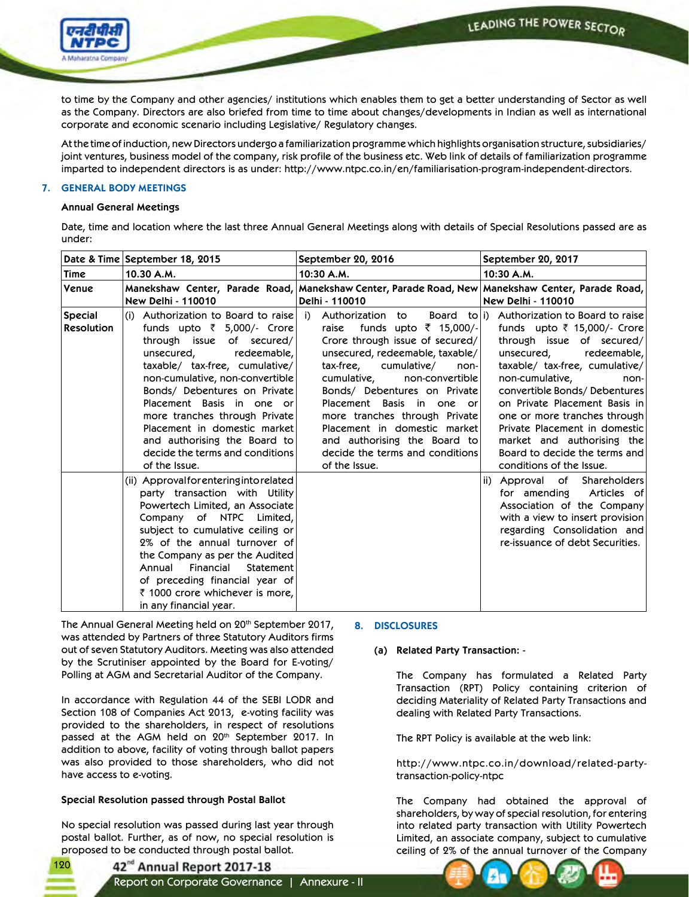LEADING THE POWER SECTOR



to time by the Company and other agencies/ institutions which enables them to get a better understanding of Sector as well as the Company. Directors are also briefed from time to time about changes/developments in Indian as well as international corporate and economic scenario including Legislative/ Regulatory changes.

 At the time of induction, new Directors undergo a familiarization programme which highlights organisation structure, subsidiaries/ joint ventures, business model of the company, risk profile of the business etc. Web link of details of familiarization programme imparted to independent directors is as under: http://www.ntpc.co.in/en/familiarisation-program-independent-directors.

### **7. GENERAL BODY MEETINGS**

### **Annual General Meetings**

 Date, time and location where the last three Annual General Meetings along with details of Special Resolutions passed are as under:

|                                     | Date & Time September 18, 2015                                                                                                                                                                                                                                                                                                                                                                                     | September 20, 2016                                                                                                                                                                                                                                                                                                                                                                                                  | September 20, 2017                                                                                                                                                                                                                                                                                                                                                                                                             |
|-------------------------------------|--------------------------------------------------------------------------------------------------------------------------------------------------------------------------------------------------------------------------------------------------------------------------------------------------------------------------------------------------------------------------------------------------------------------|---------------------------------------------------------------------------------------------------------------------------------------------------------------------------------------------------------------------------------------------------------------------------------------------------------------------------------------------------------------------------------------------------------------------|--------------------------------------------------------------------------------------------------------------------------------------------------------------------------------------------------------------------------------------------------------------------------------------------------------------------------------------------------------------------------------------------------------------------------------|
| <b>Time</b>                         | 10.30 A.M.                                                                                                                                                                                                                                                                                                                                                                                                         | 10:30 A.M.                                                                                                                                                                                                                                                                                                                                                                                                          | 10:30 A.M.                                                                                                                                                                                                                                                                                                                                                                                                                     |
| Venue                               | <b>New Delhi - 110010</b>                                                                                                                                                                                                                                                                                                                                                                                          | Manekshaw Center, Parade Road, Manekshaw Center, Parade Road, New Manekshaw Center, Parade Road,<br>Delhi - 110010                                                                                                                                                                                                                                                                                                  | <b>New Delhi - 110010</b>                                                                                                                                                                                                                                                                                                                                                                                                      |
| <b>Special</b><br><b>Resolution</b> | (i) Authorization to Board to raise<br>funds upto ₹ 5,000/- Crore<br>through issue of secured/<br>unsecured,<br>redeemable,<br>taxable/ tax-free, cumulative/<br>non-cumulative, non-convertible<br>Bonds/ Debentures on Private<br>Placement Basis in one or<br>more tranches through Private<br>Placement in domestic market<br>and authorising the Board to<br>decide the terms and conditions<br>of the Issue. | Authorization to<br>i)<br>funds upto ₹ 15,000/-<br>raise<br>Crore through issue of secured/<br>unsecured, redeemable, taxable/<br>tax-free, cumulative/<br>non-<br>cumulative,<br>non-convertible<br>Bonds/ Debentures on Private<br>Placement Basis in one or<br>more tranches through Private<br>Placement in domestic market<br>and authorising the Board to<br>decide the terms and conditions<br>of the Issue. | Board to i) Authorization to Board to raise<br>funds upto ₹ 15,000/- Crore<br>through issue of secured/<br>unsecured,<br>redeemable,<br>taxable/ tax-free, cumulative/<br>non-cumulative,<br>non-<br>convertible Bonds/Debentures<br>on Private Placement Basis in<br>one or more tranches through<br>Private Placement in domestic<br>market and authorising the<br>Board to decide the terms and<br>conditions of the Issue. |
|                                     | (ii) Approvalforenteringintorelated<br>party transaction with Utility<br>Powertech Limited, an Associate<br>Company of NTPC Limited,<br>subject to cumulative ceiling or<br>2% of the annual turnover of<br>the Company as per the Audited<br>Financial<br>Annual<br>Statement<br>of preceding financial year of<br>₹ 1000 crore whichever is more,<br>in any financial year.                                      |                                                                                                                                                                                                                                                                                                                                                                                                                     | Approval of Shareholders<br>ii)<br>for amending Articles of<br>Association of the Company<br>with a view to insert provision<br>regarding Consolidation and<br>re-issuance of debt Securities.                                                                                                                                                                                                                                 |

The Annual General Meeting held on 20<sup>th</sup> September 2017, was attended by Partners of three Statutory Auditors firms out of seven Statutory Auditors. Meeting was also attended by the Scrutiniser appointed by the Board for E-voting/ Polling at AGM and Secretarial Auditor of the Company.

 In accordance with Regulation 44 of the SEBI LODR and Section 108 of Companies Act 2013, e-voting facility was provided to the shareholders, in respect of resolutions passed at the AGM held on 20<sup>th</sup> September 2017. In addition to above, facility of voting through ballot papers was also provided to those shareholders, who did not have access to e-voting.

# **Special Resolution passed through Postal Ballot**

120

 No special resolution was passed during last year through postal ballot. Further, as of now, no special resolution is proposed to be conducted through postal ballot.

# **8. DISCLOSURES**

# **(a) Related Party Transaction: -**

 The Company has formulated a Related Party Transaction (RPT) Policy containing criterion of deciding Materiality of Related Party Transactions and dealing with Related Party Transactions.

The RPT Policy is available at the web link:

 http://www.ntpc.co.in/download/related-partytransaction-policy-ntpc

 The Company had obtained the approval of shareholders, by way of special resolution, for entering into related party transaction with Utility Powertech Limited, an associate company, subject to cumulative ceiling of 2% of the annual turnover of the Company

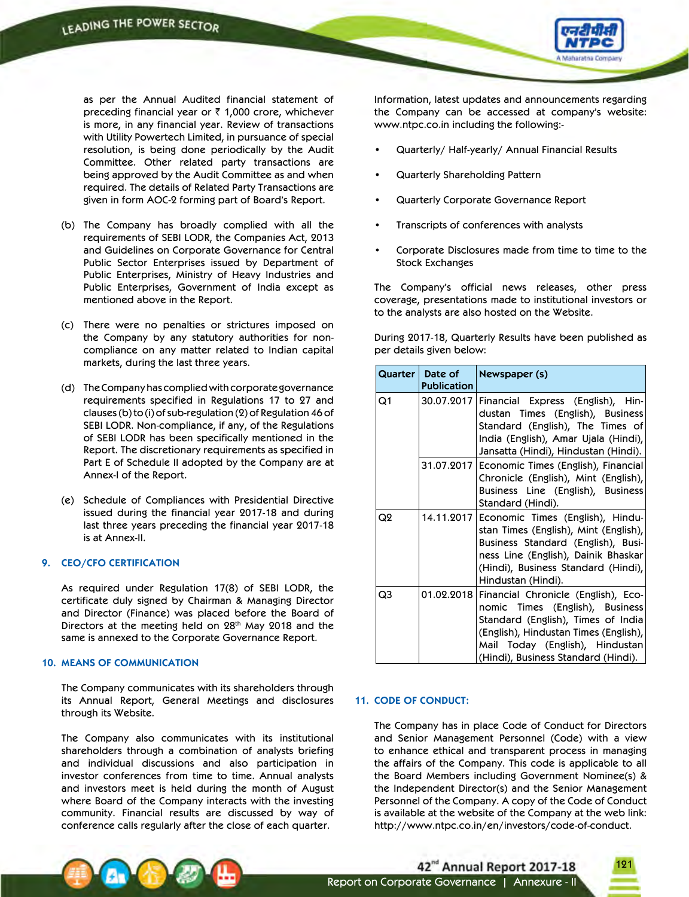

as per the Annual Audited financial statement of preceding financial year or  $\bar{\tau}$  1,000 crore, whichever is more, in any financial year. Review of transactions with Utility Powertech Limited, in pursuance of special resolution, is being done periodically by the Audit Committee. Other related party transactions are being approved by the Audit Committee as and when required. The details of Related Party Transactions are given in form AOC-2 forming part of Board's Report.

- (b) The Company has broadly complied with all the requirements of SEBI LODR, the Companies Act, 2013 and Guidelines on Corporate Governance for Central Public Sector Enterprises issued by Department of Public Enterprises, Ministry of Heavy Industries and Public Enterprises, Government of India except as mentioned above in the Report.
- (c) There were no penalties or strictures imposed on the Company by any statutory authorities for noncompliance on any matter related to Indian capital markets, during the last three years.
- (d) The Company has complied with corporate governance requirements specified in Regulations 17 to 27 and clauses (b) to (i) of sub-regulation (2) of Regulation 46 of SEBI LODR. Non-compliance, if any, of the Regulations of SEBI LODR has been specifically mentioned in the Report. The discretionary requirements as specified in Part E of Schedule II adopted by the Company are at Annex-I of the Report.
- (e) Schedule of Compliances with Presidential Directive issued during the financial year 2017-18 and during last three years preceding the financial year 2017-18 is at Annex-II.

### **9. CEO/CFO CERTIFICATION**

 As required under Regulation 17(8) of SEBI LODR, the certificate duly signed by Chairman & Managing Director and Director (Finance) was placed before the Board of Directors at the meeting held on 28th May 2018 and the same is annexed to the Corporate Governance Report.

#### **10. MEANS OF COMMUNICATION**

 The Company communicates with its shareholders through its Annual Report, General Meetings and disclosures through its Website.

 The Company also communicates with its institutional shareholders through a combination of analysts briefing and individual discussions and also participation in investor conferences from time to time. Annual analysts and investors meet is held during the month of August where Board of the Company interacts with the investing community. Financial results are discussed by way of conference calls regularly after the close of each quarter.

 Information, latest updates and announcements regarding the Company can be accessed at company's website: www.ntpc.co.in including the following:-

- Quarterly/ Half-yearly/ Annual Financial Results
- **Quarterly Shareholding Pattern**
- Quarterly Corporate Governance Report
- Transcripts of conferences with analysts
- Corporate Disclosures made from time to time to the Stock Exchanges

The Company's official news releases, other press coverage, presentations made to institutional investors or to the analysts are also hosted on the Website.

 During 2017-18, Quarterly Results have been published as per details given below:

|                | Quarter   Date of<br><b>Publication</b> | Newspaper (s)                                                                                                                                                                                                                              |
|----------------|-----------------------------------------|--------------------------------------------------------------------------------------------------------------------------------------------------------------------------------------------------------------------------------------------|
| Q1             |                                         | 30.07.2017   Financial Express (English), Hin-<br>dustan Times (English), Business<br>Standard (English), The Times of<br>India (English), Amar Ujala (Hindi),<br>Jansatta (Hindi), Hindustan (Hindi).                                     |
|                |                                         | 31.07.2017 Economic Times (English), Financial<br>Chronicle (English), Mint (English),<br>Business Line (English), Business<br>Standard (Hindi).                                                                                           |
| Q <sub>2</sub> |                                         | 14.11.2017 Economic Times (English), Hindu-<br>stan Times (English), Mint (English),<br>Business Standard (English), Busi-<br>ness Line (English), Dainik Bhaskar<br>(Hindi), Business Standard (Hindi),<br>Hindustan (Hindi).             |
| Q3             |                                         | 01.02.2018 Financial Chronicle (English), Eco-<br>nomic Times (English), Business<br>Standard (English), Times of India<br>(English), Hindustan Times (English),<br>Mail Today (English), Hindustan<br>(Hindi), Business Standard (Hindi). |

### **11. CODE OF CONDUCT:**

 The Company has in place Code of Conduct for Directors and Senior Management Personnel (Code) with a view to enhance ethical and transparent process in managing the affairs of the Company. This code is applicable to all the Board Members including Government Nominee(s) & the Independent Director(s) and the Senior Management Personnel of the Company. A copy of the Code of Conduct is available at the website of the Company at the web link: http://www.ntpc.co.in/en/investors/code-of-conduct.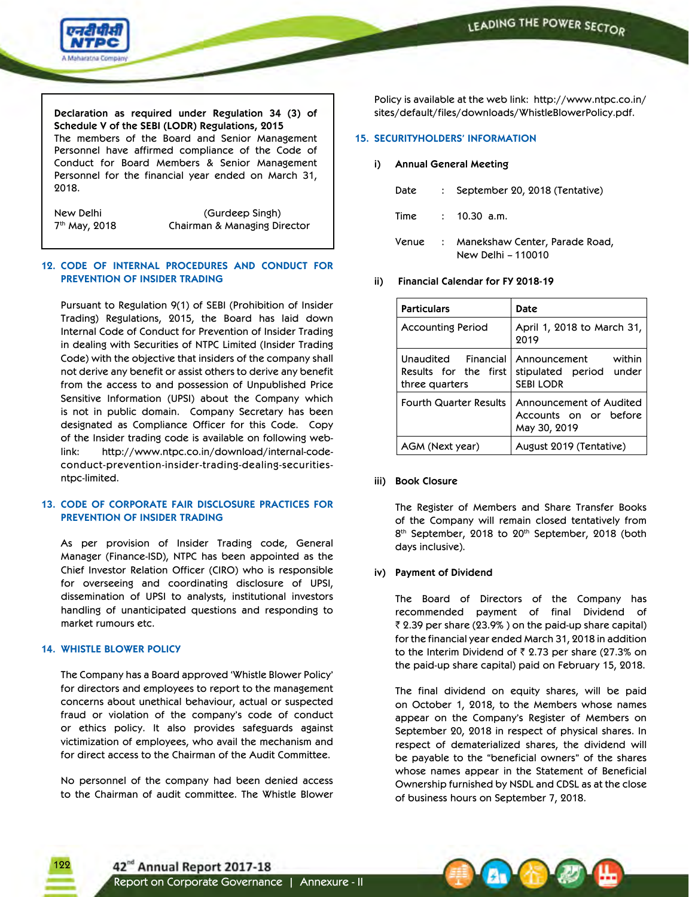

**Declaration as required under Regulation 34 (3) of Schedule V of the SEBI (LODR) Regulations, 2015** The members of the Board and Senior Management Personnel have affirmed compliance of the Code of Conduct for Board Members & Senior Management Personnel for the financial year ended on March 31, 2018.

New Delhi (Gurdeep Singh) 7<sup>th</sup> May, 2018 **Chairman & Managing Director** 

### **12. CODE OF INTERNAL PROCEDURES AND CONDUCT FOR PREVENTION OF INSIDER TRADING**

Pursuant to Regulation 9(1) of SEBI (Prohibition of Insider Trading) Regulations, 2015, the Board has laid down Internal Code of Conduct for Prevention of Insider Trading in dealing with Securities of NTPC Limited (Insider Trading Code) with the objective that insiders of the company shall not derive any benefit or assist others to derive any benefit from the access to and possession of Unpublished Price Sensitive Information (UPSI) about the Company which is not in public domain. Company Secretary has been designated as Compliance Officer for this Code. Copy of the Insider trading code is available on following weblink: http://www.ntpc.co.in/download/internal-codeconduct-prevention-insider-trading-dealing-securitiesntpc-limited.

### **13. CODE OF CORPORATE FAIR DISCLOSURE PRACTICES FOR PREVENTION OF INSIDER TRADING**

As per provision of Insider Trading code, General Manager (Finance-ISD), NTPC has been appointed as the Chief Investor Relation Officer (CIRO) who is responsible for overseeing and coordinating disclosure of UPSI, dissemination of UPSI to analysts, institutional investors handling of unanticipated questions and responding to market rumours etc.

# **14. WHISTLE BLOWER POLICY**

122

The Company has a Board approved 'Whistle Blower Policy' for directors and employees to report to the management concerns about unethical behaviour, actual or suspected fraud or violation of the company's code of conduct or ethics policy. It also provides safeguards against victimization of employees, who avail the mechanism and for direct access to the Chairman of the Audit Committee.

 No personnel of the company had been denied access to the Chairman of audit committee. The Whistle Blower

Policy is available at the web link: http://www.ntpc.co.in/ sites/default/files/downloads/WhistleBlowerPolicy.pdf.

### **15. SECURITYHOLDERS' INFORMATION**

### **i) Annual General Meeting**

|  | Date : September 20, 2018 (Tentative)                        |
|--|--------------------------------------------------------------|
|  | Time : 10.30 a.m.                                            |
|  | Venue : Manekshaw Center, Parade Road,<br>New Delhi - 110010 |

### **ii) Financial Calendar for FY 2018-19**

| <b>Particulars</b>                                             | Date                                                                 |  |
|----------------------------------------------------------------|----------------------------------------------------------------------|--|
| <b>Accounting Period</b>                                       | April 1, 2018 to March 31,<br>2019                                   |  |
| Unaudited Financial<br>Results for the first<br>three quarters | within<br>Announcement<br>stipulated period under<br><b>SEBILODR</b> |  |
| <b>Fourth Quarter Results</b>                                  | Announcement of Audited<br>Accounts on or before<br>May 30, 2019     |  |
| AGM (Next year)                                                | August 2019 (Tentative)                                              |  |

### **iii) Book Closure**

 The Register of Members and Share Transfer Books of the Company will remain closed tentatively from 8<sup>th</sup> September, 2018 to 20<sup>th</sup> September, 2018 (both days inclusive).

### **iv) Payment of Dividend**

 The Board of Directors of the Company has recommended payment of final Dividend of  $\bar{\tau}$  2.39 per share (23.9%) on the paid-up share capital) for the financial year ended March 31, 2018 in addition to the Interim Dividend of  $\bar{\tau}$  2.73 per share (27.3% on the paid-up share capital) paid on February 15, 2018.

 The final dividend on equity shares, will be paid on October 1, 2018, to the Members whose names appear on the Company's Register of Members on September 20, 2018 in respect of physical shares. In respect of dematerialized shares, the dividend will be payable to the "beneficial owners" of the shares whose names appear in the Statement of Beneficial Ownership furnished by NSDL and CDSL as at the close of business hours on September 7, 2018.

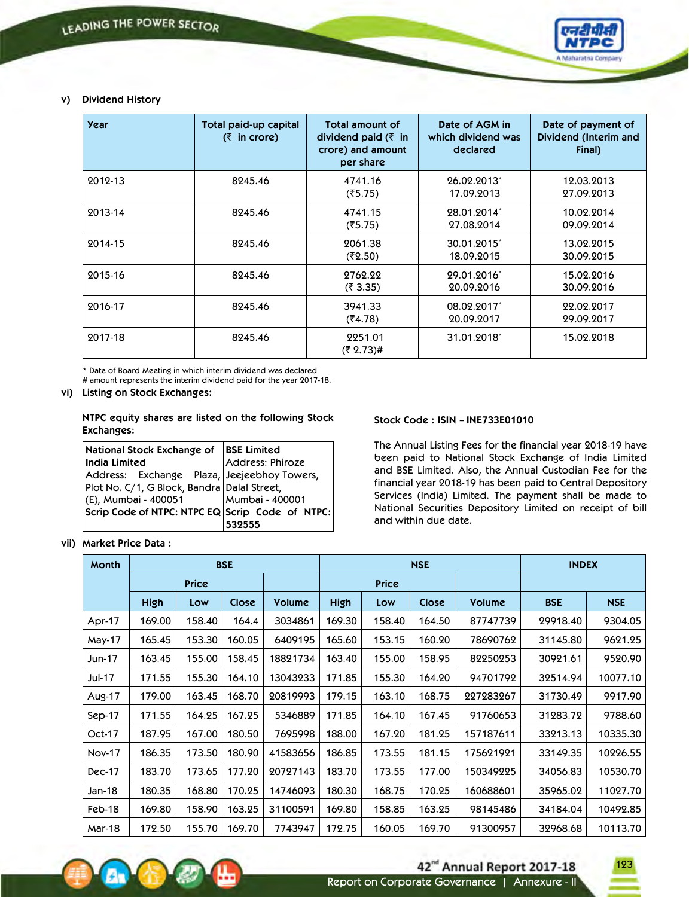

## **v) Dividend History**

| <b>Year</b> | Total paid-up capital<br>$(3 \nvert \cdot \vec{r})$ in crore) | <b>Total amount of</b><br>dividend paid $(3 \nvert \cdot \nvert)$<br>crore) and amount<br>per share | Date of AGM in<br>which dividend was<br>declared | Date of payment of<br>Dividend (Interim and<br>Final) |
|-------------|---------------------------------------------------------------|-----------------------------------------------------------------------------------------------------|--------------------------------------------------|-------------------------------------------------------|
| 2012-13     | 8245.46                                                       | 4741.16<br>(35.75)                                                                                  | 26.02.2013*<br>17.09.2013                        | 12.03.2013<br>27.09.2013                              |
| 2013-14     | 8245.46                                                       | 4741.15<br>(35.75)                                                                                  | 28.01.2014*<br>27.08.2014                        | 10.02.2014<br>09.09.2014                              |
| 2014-15     | 8245.46                                                       | 2061.38<br>(3.50)                                                                                   | 30.01.2015<br>18.09.2015                         | 13.02.2015<br>30.09.2015                              |
| 2015-16     | 8245.46                                                       | 2762.22<br>(3.35)                                                                                   | 29.01.2016*<br>20.09.2016                        | 15.02.2016<br>30.09.2016                              |
| 2016-17     | 8245.46                                                       | 3941.33<br>(34.78)                                                                                  | 08.02.2017<br>20.09.2017                         | 22.02.2017<br>29.09.2017                              |
| 2017-18     | 8245.46                                                       | 2251.01<br>$(3.73)$ #                                                                               | 31.01.2018                                       | 15.02.2018                                            |

\* Date of Board Meeting in which interim dividend was declared # amount represents the interim dividend paid for the year 2017-18.

### **vi) Listing on Stock Exchanges:**

**NTPC equity shares are listed on the following Stock Exchanges:**

| National Stock Exchange of  BSE Limited         |                  |  |  |
|-------------------------------------------------|------------------|--|--|
| India Limited                                   | Address: Phiroze |  |  |
| Address: Exchange Plaza, Jeejeebhoy Towers,     |                  |  |  |
| Plot No. C/1, G Block, Bandra Dalal Street,     |                  |  |  |
| (E), Mumbai - 400051                            | Mumbai - 400001  |  |  |
| Scrip Code of NTPC: NTPC EQ Scrip Code of NTPC: |                  |  |  |
|                                                 | 532555           |  |  |

### **vii) Market Price Data :**

### **Stock Code : ISIN – INE733E01010**

 The Annual Listing Fees for the financial year 2018-19 have been paid to National Stock Exchange of India Limited and BSE Limited. Also, the Annual Custodian Fee for the financial year 2018-19 has been paid to Central Depository Services (India) Limited. The payment shall be made to National Securities Depository Limited on receipt of bill and within due date.

| Month         |             | <b>BSE</b><br><b>NSE</b> |        |          |             |              |        |               | <b>INDEX</b> |            |
|---------------|-------------|--------------------------|--------|----------|-------------|--------------|--------|---------------|--------------|------------|
|               |             | <b>Price</b>             |        |          |             | <b>Price</b> |        |               |              |            |
|               | <b>High</b> | Low                      | Close  | Volume   | <b>High</b> | Low          | Close  | <b>Volume</b> | <b>BSE</b>   | <b>NSE</b> |
| Apr-17        | 169.00      | 158.40                   | 164.4  | 3034861  | 169.30      | 158.40       | 164.50 | 87747739      | 29918.40     | 9304.05    |
| May-17        | 165.45      | 153.30                   | 160.05 | 6409195  | 165.60      | 153.15       | 160.20 | 78690762      | 31145.80     | 9621.25    |
| Jun-17        | 163.45      | 155.00                   | 158.45 | 18821734 | 163.40      | 155.00       | 158.95 | 82250253      | 30921.61     | 9520.90    |
| Jul-17        | 171.55      | 155.30                   | 164.10 | 13043233 | 171.85      | 155.30       | 164.20 | 94701792      | 32514.94     | 10077.10   |
| Aug-17        | 179.00      | 163.45                   | 168.70 | 20819993 | 179.15      | 163.10       | 168.75 | 227283267     | 31730.49     | 9917.90    |
| Sep $-17$     | 171.55      | 164.25                   | 167.25 | 5346889  | 171.85      | 164.10       | 167.45 | 91760653      | 31283.72     | 9788.60    |
| Oct-17        | 187.95      | 167.00                   | 180.50 | 7695998  | 188.00      | 167.20       | 181.25 | 157187611     | 33213.13     | 10335.30   |
| <b>Nov-17</b> | 186.35      | 173.50                   | 180.90 | 41583656 | 186.85      | 173.55       | 181.15 | 175621921     | 33149.35     | 10226.55   |
| Dec-17        | 183.70      | 173.65                   | 177.20 | 20727143 | 183.70      | 173.55       | 177.00 | 150349225     | 34056.83     | 10530.70   |
| Jan-18        | 180.35      | 168.80                   | 170.25 | 14746093 | 180.30      | 168.75       | 170.25 | 160688601     | 35965.02     | 11027.70   |
| Feb-18        | 169.80      | 158.90                   | 163.25 | 31100591 | 169.80      | 158.85       | 163.25 | 98145486      | 34184.04     | 10492.85   |
| Mar-18        | 172.50      | 155.70                   | 169.70 | 7743947  | 172.75      | 160.05       | 169.70 | 91300957      | 32968.68     | 10113.70   |



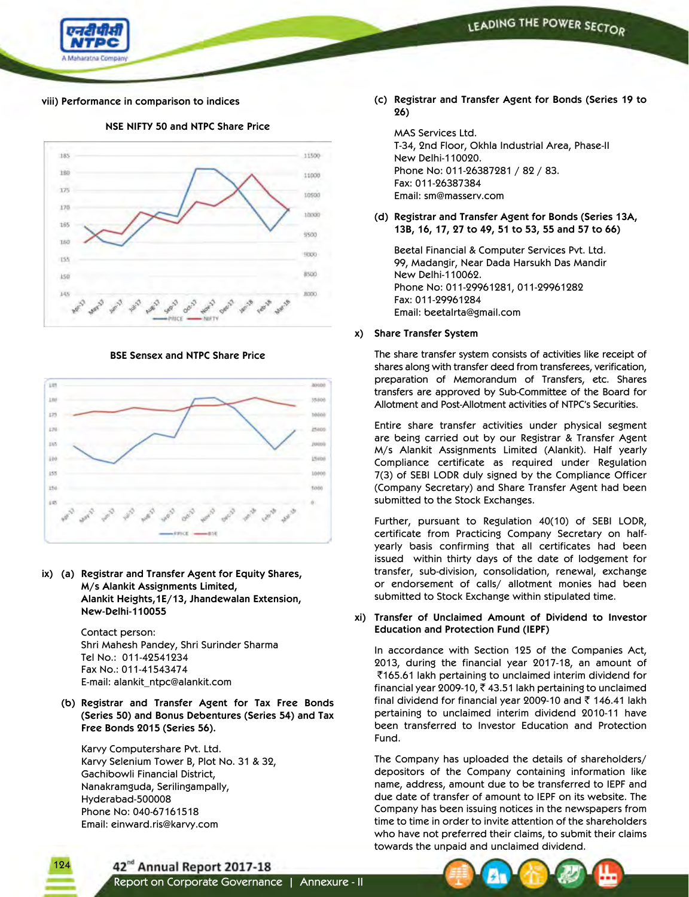

### **viii) Performance in comparison to indices**



**NSE NIFTY 50 and NTPC Share Price**

**BSE Sensex and NTPC Share Price**



**ix) (a) Registrar and Transfer Agent for Equity Shares, M/s Alankit Assignments Limited, Alankit Heights,1E/13, Jhandewalan Extension, New-Delhi-110055**

> Contact person: Shri Mahesh Pandey, Shri Surinder Sharma Tel No.: 011-42541234 Fax No.: 011-41543474 E-mail: alankit\_ntpc@alankit.com

**(b) Registrar and Transfer Agent for Tax Free Bonds (Series 50) and Bonus Debentures (Series 54) and Tax Free Bonds 2015 (Series 56).**

 Karvy Computershare Pvt. Ltd. Karvy Selenium Tower B, Plot No. 31 & 32, Gachibowli Financial District, Nanakramguda, Serilingampally, Hyderabad-500008 Phone No: 040-67161518 Email: einward.ris@karvy.com

**(c) Registrar and Transfer Agent for Bonds (Series 19 to 26)**

MAS Services Ltd. T-34, 2nd Floor, Okhla Industrial Area, Phase-II New Delhi-110020. Phone No: 011-26387281 / 82 / 83. Fax: 011-26387384 Email: sm@masserv.com

**(d) Registrar and Transfer Agent for Bonds (Series 13A, 13B, 16, 17, 27 to 49, 51 to 53, 55 and 57 to 66)**

 Beetal Financial & Computer Services Pvt. Ltd. 99, Madangir, Near Dada Harsukh Das Mandir New Delhi-110062. Phone No: 011-29961281, 011-29961282 Fax: 011-29961284 Email: beetalrta@gmail.com

### **x) Share Transfer System**

 The share transfer system consists of activities like receipt of shares along with transfer deed from transferees, verification, preparation of Memorandum of Transfers, etc. Shares transfers are approved by Sub-Committee of the Board for Allotment and Post-Allotment activities of NTPC's Securities.

 Entire share transfer activities under physical segment are being carried out by our Registrar & Transfer Agent M/s Alankit Assignments Limited (Alankit). Half yearly Compliance certificate as required under Regulation 7(3) of SEBI LODR duly signed by the Compliance Officer (Company Secretary) and Share Transfer Agent had been submitted to the Stock Exchanges.

 Further, pursuant to Regulation 40(10) of SEBI LODR, certificate from Practicing Company Secretary on halfyearly basis confirming that all certificates had been issued within thirty days of the date of lodgement for transfer, sub-division, consolidation, renewal, exchange or endorsement of calls/ allotment monies had been submitted to Stock Exchange within stipulated time.

**xi) Transfer of Unclaimed Amount of Dividend to Investor Education and Protection Fund (IEPF)**

 In accordance with Section 125 of the Companies Act, 2013, during the financial year 2017-18, an amount of  $\bar{5}165.61$  lakh pertaining to unclaimed interim dividend for financial year 2009-10,  $\bar{\tau}$  43.51 lakh pertaining to unclaimed final dividend for financial year 2009-10 and  $\bar{\tau}$  146.41 lakh pertaining to unclaimed interim dividend 2010-11 have been transferred to Investor Education and Protection Fund.

 The Company has uploaded the details of shareholders/ depositors of the Company containing information like name, address, amount due to be transferred to IEPF and due date of transfer of amount to IEPF on its website. The Company has been issuing notices in the newspapers from time to time in order to invite attention of the shareholders who have not preferred their claims, to submit their claims towards the unpaid and unclaimed dividend.

42<sup>nd</sup> Annual Report 2017-18



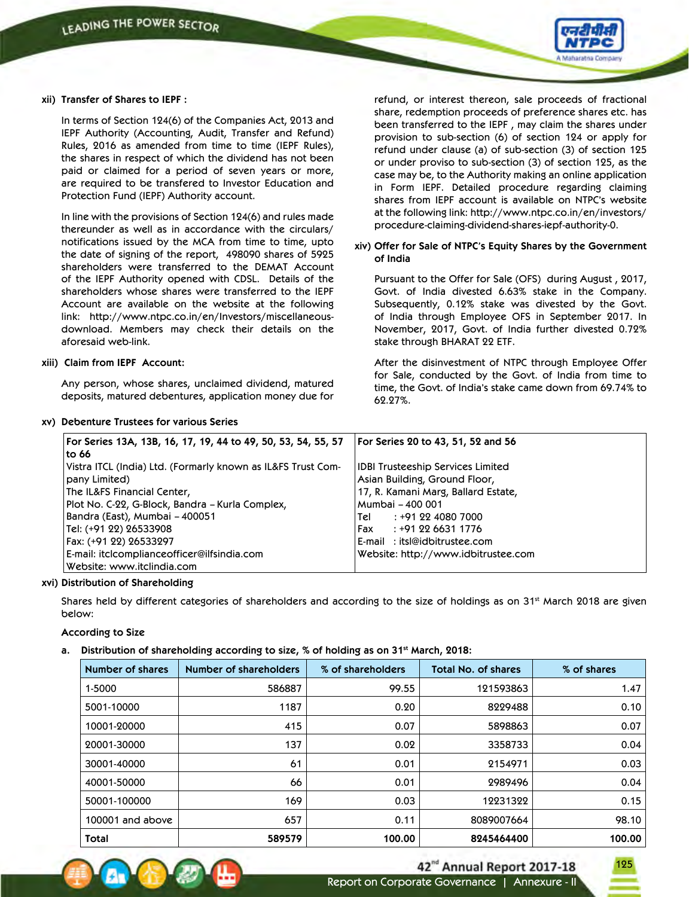

### **xii) Transfer of Shares to IEPF :**

 In terms of Section 124(6) of the Companies Act, 2013 and IEPF Authority (Accounting, Audit, Transfer and Refund) Rules, 2016 as amended from time to time (IEPF Rules), the shares in respect of which the dividend has not been paid or claimed for a period of seven years or more, are required to be transfered to Investor Education and Protection Fund (IEPF) Authority account.

 In line with the provisions of Section 124(6) and rules made thereunder as well as in accordance with the circulars/ notifications issued by the MCA from time to time, upto the date of signing of the report, 498090 shares of 5925 shareholders were transferred to the DEMAT Account of the IEPF Authority opened with CDSL. Details of the shareholders whose shares were transferred to the IEPF Account are available on the website at the following link: http://www.ntpc.co.in/en/Investors/miscellaneousdownload. Members may check their details on the aforesaid web-link.

### **xiii) Claim from IEPF Account:**

 Any person, whose shares, unclaimed dividend, matured deposits, matured debentures, application money due for

### **xv) Debenture Trustees for various Series**

refund, or interest thereon, sale proceeds of fractional share, redemption proceeds of preference shares etc. has been transferred to the IEPF , may claim the shares under provision to sub-section (6) of section 124 or apply for refund under clause (a) of sub-section (3) of section 125 or under proviso to sub-section (3) of section 125, as the case may be, to the Authority making an online application in Form IEPF. Detailed procedure regarding claiming shares from IEPF account is available on NTPC's website at the following link: http://www.ntpc.co.in/en/investors/ procedure-claiming-dividend-shares-iepf-authority-0.

### **xiv) Offer for Sale of NTPC's Equity Shares by the Government of India**

 Pursuant to the Offer for Sale (OFS) during August , 2017, Govt. of India divested 6.63% stake in the Company. Subsequently, 0.12% stake was divested by the Govt. of India through Employee OFS in September 2017. In November, 2017, Govt. of India further divested 0.72% stake through BHARAT 22 ETF.

 After the disinvestment of NTPC through Employee Offer for Sale, conducted by the Govt. of India from time to time, the Govt. of India's stake came down from 69.74% to 62.27%.

| For Series 13A, 13B, 16, 17, 19, 44 to 49, 50, 53, 54, 55, 57 | For Series 20 to 43, 51, 52 and 56       |
|---------------------------------------------------------------|------------------------------------------|
| to 66                                                         |                                          |
| Vistra ITCL (India) Ltd. (Formarly known as IL&FS Trust Com-  | <b>IDBI Trusteeship Services Limited</b> |
| pany Limited)                                                 | Asian Building, Ground Floor,            |
| The IL&FS Financial Center,                                   | 17, R. Kamani Marg, Ballard Estate,      |
| Plot No. C-22, G-Block, Bandra – Kurla Complex,               | Mumbai – 400 001                         |
| Bandra (East), Mumbai – 400051                                | : +91 22 4080 7000<br>Tel                |
| Tel: (+91 22) 26533908                                        | : +91 22 6631 1776<br> Fax               |
| Fax: (+91 22) 26533297                                        | E-mail: itsl@idbitrustee.com             |
| E-mail: itclcomplianceofficer@ilfsindia.com                   | Website: http://www.idbitrustee.com      |
| Website: www.itclindia.com                                    |                                          |

### **xvi) Distribution of Shareholding**

Shares held by different categories of shareholders and according to the size of holdings as on 31st March 2018 are given below:

### **According to Size**

### **a. Distribution of shareholding according to size, % of holding as on 31st March, 2018:**

| Number of shares | Number of shareholders | % of shareholders | <b>Total No. of shares</b> | % of shares |
|------------------|------------------------|-------------------|----------------------------|-------------|
| 1-5000           | 586887                 | 99.55             | 121593863                  | 1.47        |
| 5001-10000       | 1187                   | 0.20              | 8229488                    | 0.10        |
| 10001-20000      | 415                    | 0.07              | 5898863                    | 0.07        |
| 20001-30000      | 137                    | 0.02              | 3358733                    | 0.04        |
| 30001-40000      | 61                     | 0.01              | 2154971                    | 0.03        |
| 40001-50000      | 66                     | 0.01              | 2989496                    | 0.04        |
| 50001-100000     | 169                    | 0.03              | 12231322                   | 0.15        |
| 100001 and above | 657                    | 0.11              | 8089007664                 | 98.10       |
| Total            | 589579                 | 100.00            | 8245464400                 | 100.00      |



125

Report on Corporate Governance | Annexure - II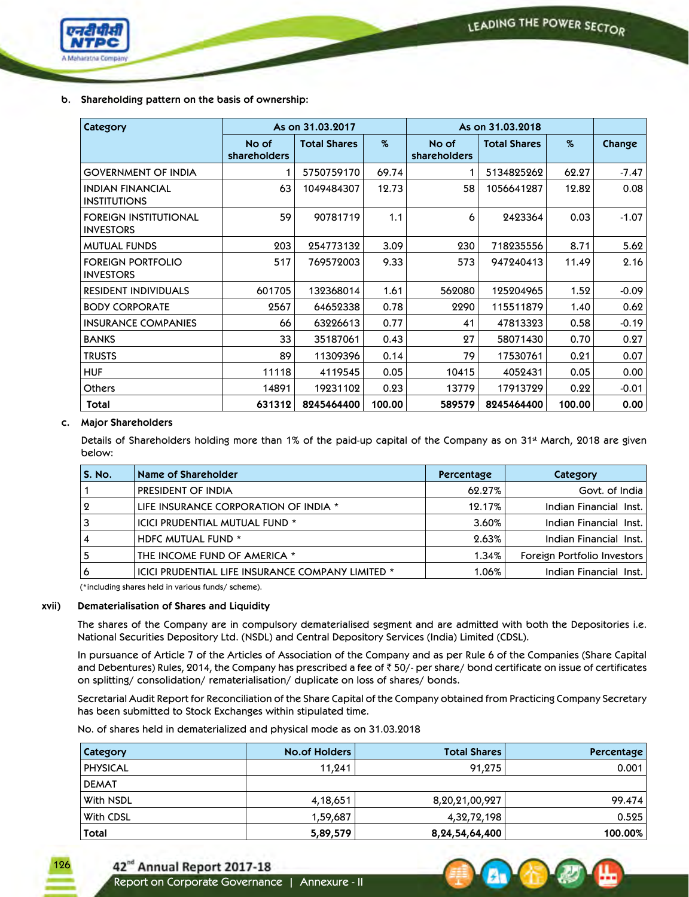

 **b. Shareholding pattern on the basis of ownership:**

| Category                                         |                       | As on 31.03.2017    |        | As on 31.03.2018      |                     |        |         |
|--------------------------------------------------|-----------------------|---------------------|--------|-----------------------|---------------------|--------|---------|
|                                                  | No of<br>shareholders | <b>Total Shares</b> | %      | No of<br>shareholders | <b>Total Shares</b> | $\%$   | Change  |
| <b>GOVERNMENT OF INDIA</b>                       | 1                     | 5750759170          | 69.74  |                       | 5134825262          | 62.27  | $-7.47$ |
| <b>INDIAN FINANCIAL</b><br><b>INSTITUTIONS</b>   | 63                    | 1049484307          | 12.73  | 58                    | 1056641287          | 12.82  | 0.08    |
| <b>FOREIGN INSTITUTIONAL</b><br><b>INVESTORS</b> | 59                    | 90781719            | 1.1    | 6                     | 2423364             | 0.03   | $-1.07$ |
| <b>MUTUAL FUNDS</b>                              | 203                   | 254773132           | 3.09   | 230                   | 718235556           | 8.71   | 5.62    |
| <b>FOREIGN PORTFOLIO</b><br><b>INVESTORS</b>     | 517                   | 769572003           | 9.33   | 573                   | 947240413           | 11.49  | 2.16    |
| <b>RESIDENT INDIVIDUALS</b>                      | 601705                | 132368014           | 1.61   | 562080                | 125204965           | 1.52   | $-0.09$ |
| <b>BODY CORPORATE</b>                            | 2567                  | 64652338            | 0.78   | 2290                  | 115511879           | 1.40   | 0.62    |
| <b>INSURANCE COMPANIES</b>                       | 66                    | 63226613            | 0.77   | 41                    | 47813323            | 0.58   | $-0.19$ |
| <b>BANKS</b>                                     | 33                    | 35187061            | 0.43   | 27                    | 58071430            | 0.70   | 0.27    |
| <b>TRUSTS</b>                                    | 89                    | 11309396            | 0.14   | 79                    | 17530761            | 0.21   | 0.07    |
| <b>HUF</b>                                       | 11118                 | 4119545             | 0.05   | 10415                 | 4052431             | 0.05   | 0.00    |
| <b>Others</b>                                    | 14891                 | 19231102            | 0.23   | 13779                 | 17913729            | 0.22   | $-0.01$ |
| Total                                            | 631312                | 8245464400          | 100.00 | 589579                | 8245464400          | 100.00 | 0.00    |

### **c. Major Shareholders**

Details of Shareholders holding more than 1% of the paid-up capital of the Company as on 31<sup>st</sup> March, 2018 are given below:

| <b>S. No.</b> | Name of Shareholder                               | Percentage | Category                    |
|---------------|---------------------------------------------------|------------|-----------------------------|
|               | PRESIDENT OF INDIA                                | 62.27%     | Govt. of India              |
| $\Omega$      | LIFE INSURANCE CORPORATION OF INDIA *             | 12.17%     | Indian Financial Inst.      |
|               | ICICI PRUDENTIAL MUTUAL FUND *                    | 3.60%      | Indian Financial Inst.      |
|               | HDFC MUTUAL FUND *                                | 2.63%      | Indian Financial Inst.      |
|               | THE INCOME FUND OF AMERICA *                      | 1.34%      | Foreign Portfolio Investors |
| ь             | ICICI PRUDENTIAL LIFE INSURANCE COMPANY LIMITED * | 1.06%      | Indian Financial Inst.      |

(\*including shares held in various funds/ scheme).

### **xvii) Dematerialisation of Shares and Liquidity**

 The shares of the Company are in compulsory dematerialised segment and are admitted with both the Depositories i.e. National Securities Depository Ltd. (NSDL) and Central Depository Services (India) Limited (CDSL).

 In pursuance of Article 7 of the Articles of Association of the Company and as per Rule 6 of the Companies (Share Capital and Debentures) Rules, 2014, the Company has prescribed a fee of  $\bar{z}$  50/- per share/ bond certificate on issue of certificates on splitting/ consolidation/ rematerialisation/ duplicate on loss of shares/ bonds.

 Secretarial Audit Report for Reconciliation of the Share Capital of the Company obtained from Practicing Company Secretary has been submitted to Stock Exchanges within stipulated time.

No. of shares held in dematerialized and physical mode as on 31.03.2018

| Category        | No.of Holders | <b>Total Shares'</b> | Percentage |
|-----------------|---------------|----------------------|------------|
| <b>PHYSICAL</b> | 11,241        | 91,275               | 0.001      |
| <b>DEMAT</b>    |               |                      |            |
| With NSDL       | 4,18,651      | 8,20,21,00,927       | 99.474     |
| With CDSL       | 1,59,687      | 4,32,72,198          | 0.525      |
| <b>Total</b>    | 5,89,579      | 8, 24, 54, 64, 400   | 100.00%    |





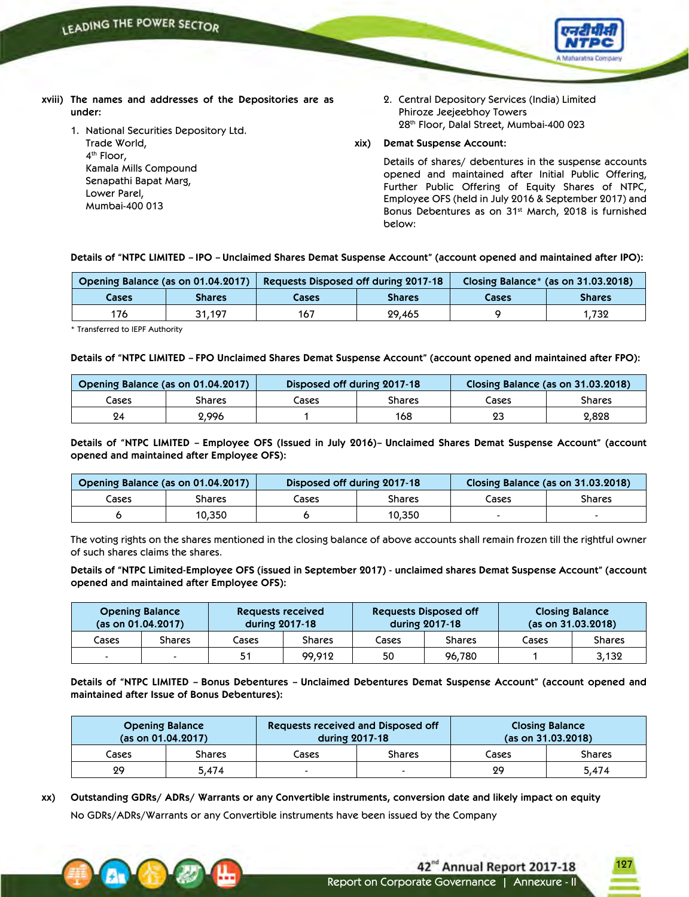

- **xviii) The names and addresses of the Depositories are as under:**
	- 1. National Securities Depository Ltd. Trade World, 4<sup>th</sup> Floor, Kamala Mills Compound Senapathi Bapat Marg,
		- Lower Parel,
		- Mumbai-400 013

2. Central Depository Services (India) Limited Phiroze Jeejeebhoy Towers 28th Floor, Dalal Street, Mumbai-400 023

### **xix) Demat Suspense Account:**

 Details of shares/ debentures in the suspense accounts opened and maintained after Initial Public Offering, Further Public Offering of Equity Shares of NTPC, Employee OFS (held in July 2016 & September 2017) and Bonus Debentures as on 31<sup>st</sup> March, 2018 is furnished below:

### Details of "NTPC LIMITED - IPO - Unclaimed Shares Demat Suspense Account" (account opened and maintained after IPO):

|       | Opening Balance (as on 01.04.2017) |       | Requests Disposed off during 2017-18 |       | Closing Balance* (as on 31.03.2018) |
|-------|------------------------------------|-------|--------------------------------------|-------|-------------------------------------|
| Cases | Shares                             | Cases | <b>Shares</b>                        | Cases | <b>Shares</b>                       |
| 176   | 31.197                             | 167   | 29,465                               |       | 1.732                               |

\* Transferred to IEPF Authority

### Details of "NTPC LIMITED - FPO Unclaimed Shares Demat Suspense Account" (account opened and maintained after FPO):

|       | Opening Balance (as on 01.04.2017) |       | Disposed off during 2017-18 | Closing Balance (as on 31.03.2018) |        |
|-------|------------------------------------|-------|-----------------------------|------------------------------------|--------|
| Cases | Shares                             | Cases | Shares                      | Cases                              | Shares |
| 24    | 2.996                              |       | 168                         | 23                                 | 2,828  |

Details of "NTPC LIMITED - Employee OFS (Issued in July 2016)- Unclaimed Shares Demat Suspense Account" (account **opened and maintained after Employee OFS):**

| Opening Balance (as on 01.04.2017) |        | Disposed off during 2017-18 |        |       | Closing Balance (as on 31.03.2018) |
|------------------------------------|--------|-----------------------------|--------|-------|------------------------------------|
| Cases                              | Shares | Cases                       | Shares | Cases | <b>Shares</b>                      |
|                                    | 10,350 |                             | 10,350 |       | -                                  |

 The voting rights on the shares mentioned in the closing balance of above accounts shall remain frozen till the rightful owner of such shares claims the shares.

Details of "NTPC Limited-Employee OFS (issued in September 2017) - unclaimed shares Demat Suspense Account" (account **opened and maintained after Employee OFS):**

|       | <b>Opening Balance</b><br>(as on 01.04.2017) |       | Requests received<br>during 2017-18 |       | <b>Requests Disposed off</b><br>during 2017-18 |       | <b>Closing Balance</b><br>(as on 31.03.2018) |
|-------|----------------------------------------------|-------|-------------------------------------|-------|------------------------------------------------|-------|----------------------------------------------|
| Cases | <b>Shares</b>                                | Cases | Shares                              | Cases | <b>Shares</b>                                  | Cases | <b>Shares</b>                                |
| $\,$  |                                              | 51    | 99,912                              | 50    | 96,780                                         |       | 3,132                                        |

**Details of "NTPC LIMITED – Bonus Debentures – Unclaimed Debentures Demat Suspense Account" (account opened and maintained after Issue of Bonus Debentures):**

|       | <b>Opening Balance</b><br>(as on 01.04.2017) |       | Requests received and Disposed off<br><b>Closing Balance</b><br>(as on 31.03.2018)<br>during 2017-18 |       |        |
|-------|----------------------------------------------|-------|------------------------------------------------------------------------------------------------------|-------|--------|
| Cases | Shares                                       | Cases | <b>Shares</b>                                                                                        | Cases | Shares |
| 29    | 5.474                                        | -     | -                                                                                                    | 29    | 5.474  |

xx) Outstanding GDRs/ ADRs/ Warrants or any Convertible instruments, conversion date and likely impact on equity No GDRs/ADRs/Warrants or any Convertible instruments have been issued by the Company

> 42<sup>nd</sup> Annual Report 2017-18 Report on Corporate Governance | Annexure - II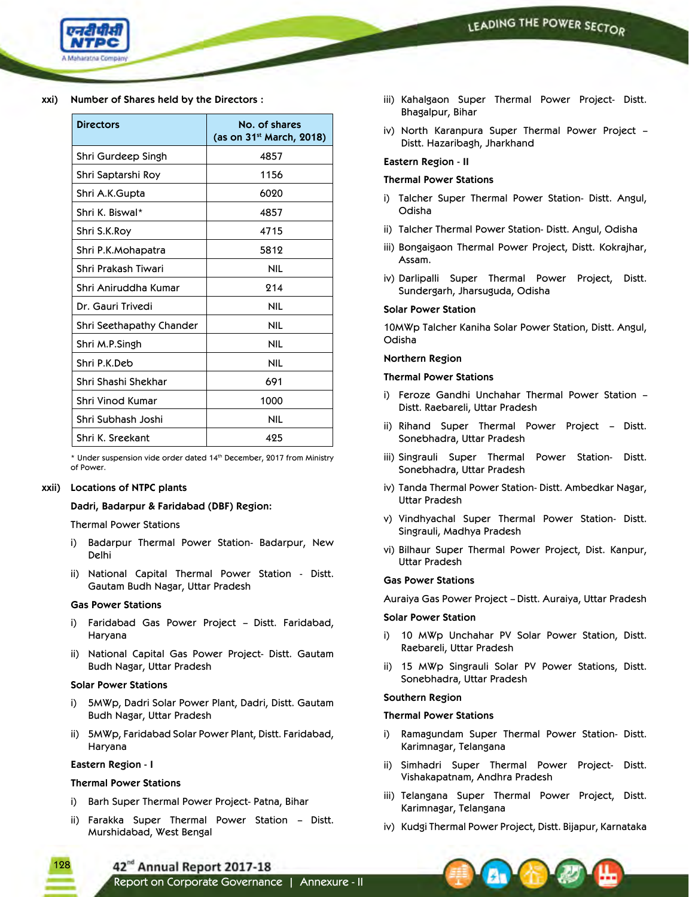

### **xxi) Number of Shares held by the Directors :**

| <b>Directors</b>         | No. of shares<br>(as on 31 <sup>st</sup> March, 2018) |
|--------------------------|-------------------------------------------------------|
| Shri Gurdeep Singh       | 4857                                                  |
| Shri Saptarshi Roy       | 1156                                                  |
| Shri A.K.Gupta           | 6020                                                  |
| Shri K. Biswal*          | 4857                                                  |
| Shri S.K.Roy             | 4715                                                  |
| Shri P.K.Mohapatra       | 5812                                                  |
| Shri Prakash Tiwari      | NIL                                                   |
| Shri Aniruddha Kumar     | 214                                                   |
| Dr. Gauri Trivedi        | NIL                                                   |
| Shri Seethapathy Chander | NIL                                                   |
| Shri M.P.Singh           | <b>NIL</b>                                            |
| Shri P.K.Deb             | <b>NIL</b>                                            |
| Shri Shashi Shekhar      | 691                                                   |
| Shri Vinod Kumar         | 1000                                                  |
| Shri Subhash Joshi       | NIL                                                   |
| Shri K. Sreekant         | 425                                                   |

 \* Under suspension vide order dated 14th December, 2017 from Ministry of Power.

# **xxii) Locations of NTPC plants**

### **Dadri, Badarpur & Faridabad (DBF) Region:**

### Thermal Power Stations

- i) Badarpur Thermal Power Station- Badarpur, New Delhi
- ii) National Capital Thermal Power Station Distt. Gautam Budh Nagar, Uttar Pradesh

#### **Gas Power Stations**

- i) Faridabad Gas Power Project Distt. Faridabad, Haryana
- ii) National Capital Gas Power Project- Distt. Gautam Budh Nagar, Uttar Pradesh

### **Solar Power Stations**

- i) 5MWp, Dadri Solar Power Plant, Dadri, Distt. Gautam Budh Nagar, Uttar Pradesh
- ii) 5MWp, Faridabad Solar Power Plant, Distt. Faridabad, Haryana

### **Eastern Region - I**

### **Thermal Power Stations**

- i) Barh Super Thermal Power Project- Patna, Bihar
- ii) Farakka Super Thermal Power Station Distt. Murshidabad, West Bengal
- iii) Kahalgaon Super Thermal Power Project- Distt. Bhagalpur, Bihar
- iv) North Karanpura Super Thermal Power Project Distt. Hazaribagh, Jharkhand

#### **Eastern Region - II**

#### **Thermal Power Stations**

- i) Talcher Super Thermal Power Station- Distt. Angul, Odisha
- ii) Talcher Thermal Power Station- Distt. Angul, Odisha
- iii) Bongaigaon Thermal Power Project, Distt. Kokrajhar, Assam.
- iv) Darlipalli Super Thermal Power Project, Distt. Sundergarh, Jharsuguda, Odisha

#### **Solar Power Station**

 10MWp Talcher Kaniha Solar Power Station, Distt. Angul, Odisha

#### **Northern Region**

#### **Thermal Power Stations**

- i) Feroze Gandhi Unchahar Thermal Power Station Distt. Raebareli, Uttar Pradesh
- ii) Rihand Super Thermal Power Project Distt. Sonebhadra, Uttar Pradesh
- iii) Singrauli Super Thermal Power Station- Distt. Sonebhadra, Uttar Pradesh
- iv) Tanda Thermal Power Station- Distt. Ambedkar Nagar, Uttar Pradesh
- v) Vindhyachal Super Thermal Power Station- Distt. Singrauli, Madhya Pradesh
- vi) Bilhaur Super Thermal Power Project, Dist. Kanpur, Uttar Pradesh

#### **Gas Power Stations**

Auraiya Gas Power Project – Distt. Auraiya, Uttar Pradesh

#### **Solar Power Station**

- i) 10 MWp Unchahar PV Solar Power Station, Distt. Raebareli, Uttar Pradesh
- ii) 15 MWp Singrauli Solar PV Power Stations, Distt. Sonebhadra, Uttar Pradesh

### **Southern Region**

### **Thermal Power Stations**

- i) Ramagundam Super Thermal Power Station- Distt. Karimnagar, Telangana
- ii) Simhadri Super Thermal Power Project- Distt. Vishakapatnam, Andhra Pradesh
- iii) Telangana Super Thermal Power Project, Distt. Karimnagar, Telangana
- iv) Kudgi Thermal Power Project, Distt. Bijapur, Karnataka



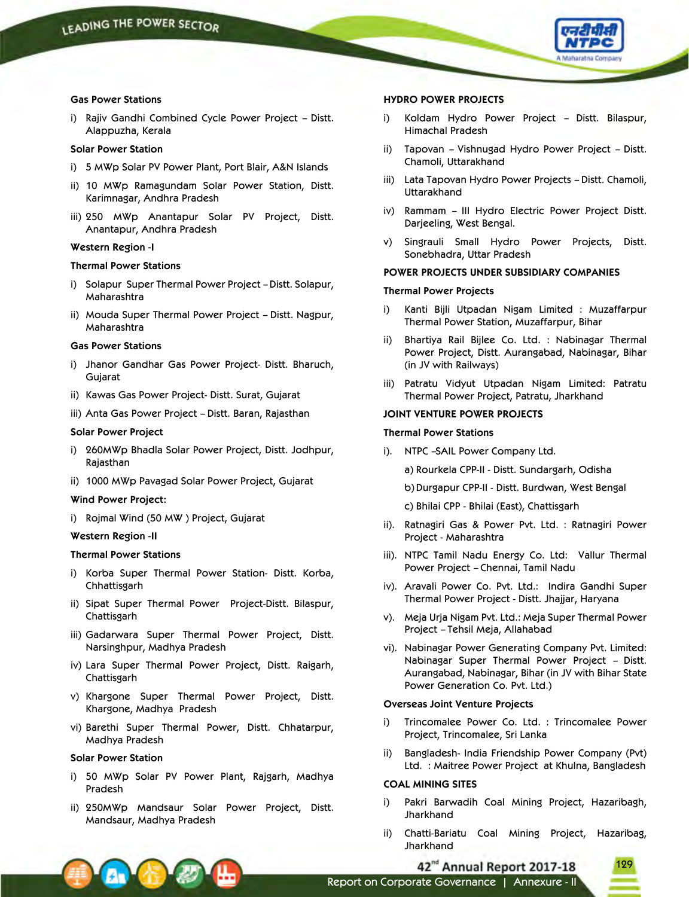

#### **Gas Power Stations**

i) Rajiv Gandhi Combined Cycle Power Project – Distt. Alappuzha, Kerala

### **Solar Power Station**

- i) 5 MWp Solar PV Power Plant, Port Blair, A&N Islands
- ii) 10 MWp Ramagundam Solar Power Station, Distt. Karimnagar, Andhra Pradesh
- iii) 250 MWp Anantapur Solar PV Project, Distt. Anantapur, Andhra Pradesh

### **Western Region -I**

#### **Thermal Power Stations**

- i) Solapur Super Thermal Power Project Distt. Solapur, Maharashtra
- ii) Mouda Super Thermal Power Project Distt. Nagpur, Maharashtra

#### **Gas Power Stations**

- i) Jhanor Gandhar Gas Power Project- Distt. Bharuch, Gujarat
- ii) Kawas Gas Power Project- Distt. Surat, Gujarat
- iii) Anta Gas Power Project Distt. Baran, Rajasthan

# **Solar Power Project**

- i) 260MWp Bhadla Solar Power Project, Distt. Jodhpur, Rajasthan
- ii) 1000 MWp Pavagad Solar Power Project, Gujarat

#### **Wind Power Project:**

i) Rojmal Wind (50 MW ) Project, Gujarat

### **Western Region -II**

### **Thermal Power Stations**

- i) Korba Super Thermal Power Station- Distt. Korba, Chhattisgarh
- ii) Sipat Super Thermal Power Project-Distt. Bilaspur, **Chattisgarh**
- iii) Gadarwara Super Thermal Power Project, Distt. Narsinghpur, Madhya Pradesh
- iv) Lara Super Thermal Power Project, Distt. Raigarh, Chattisgarh
- v) Khargone Super Thermal Power Project, Distt. Khargone, Madhya Pradesh
- vi) Barethi Super Thermal Power, Distt. Chhatarpur, Madhya Pradesh

#### **Solar Power Station**

- i) 50 MWp Solar PV Power Plant, Rajgarh, Madhya Pradesh
- ii) 250MWp Mandsaur Solar Power Project, Distt. Mandsaur, Madhya Pradesh

### **HYDRO POWER PROJECTS**

- i) Koldam Hydro Power Project Distt. Bilaspur, Himachal Pradesh
- ii) Tapovan Vishnugad Hydro Power Project Distt. Chamoli, Uttarakhand
- iii) Lata Tapovan Hydro Power Projects Distt. Chamoli, Uttarakhand
- iv) Rammam III Hydro Electric Power Project Distt. Darjeeling, West Bengal.
- v) Singrauli Small Hydro Power Projects, Distt. Sonebhadra, Uttar Pradesh

### **POWER PROJECTS UNDER SUBSIDIARY COMPANIES**

#### **Thermal Power Projects**

- i) Kanti Bijli Utpadan Nigam Limited : Muzaffarpur Thermal Power Station, Muzaffarpur, Bihar
- ii) Bhartiya Rail Bijlee Co. Ltd. : Nabinagar Thermal Power Project, Distt. Aurangabad, Nabinagar, Bihar (in JV with Railways)
- iii) Patratu Vidyut Utpadan Nigam Limited: Patratu Thermal Power Project, Patratu, Jharkhand

### **JOINT VENTURE POWER PROJECTS**

#### **Thermal Power Stations**

- i). NTPC –SAIL Power Company Ltd.
	- a) Rourkela CPP-II Distt. Sundargarh, Odisha
	- b)Durgapur CPP-II Distt. Burdwan, West Bengal
	- c) Bhilai CPP Bhilai (East), Chattisgarh
- ii). Ratnagiri Gas & Power Pvt. Ltd. : Ratnagiri Power Project - Maharashtra
- iii). NTPC Tamil Nadu Energy Co. Ltd: Vallur Thermal Power Project – Chennai, Tamil Nadu
- iv). Aravali Power Co. Pvt. Ltd.: Indira Gandhi Super Thermal Power Project - Distt. Jhajjar, Haryana
- v). Meja Urja Nigam Pvt. Ltd.: Meja Super Thermal Power Project – Tehsil Meja, Allahabad
- vi). Nabinagar Power Generating Company Pvt. Limited: Nabinagar Super Thermal Power Project – Distt. Aurangabad, Nabinagar, Bihar (in JV with Bihar State Power Generation Co. Pvt. Ltd.)

### **Overseas Joint Venture Projects**

- i) Trincomalee Power Co. Ltd. : Trincomalee Power Project, Trincomalee, Sri Lanka
- ii) Bangladesh- India Friendship Power Company (Pvt) Ltd. : Maitree Power Project at Khulna, Bangladesh

### **COAL MINING SITES**

- i) Pakri Barwadih Coal Mining Project, Hazaribagh, Jharkhand
- ii) Chatti-Bariatu Coal Mining Project, Hazaribag, **Jharkhand**

42<sup>nd</sup> Annual Report 2017-18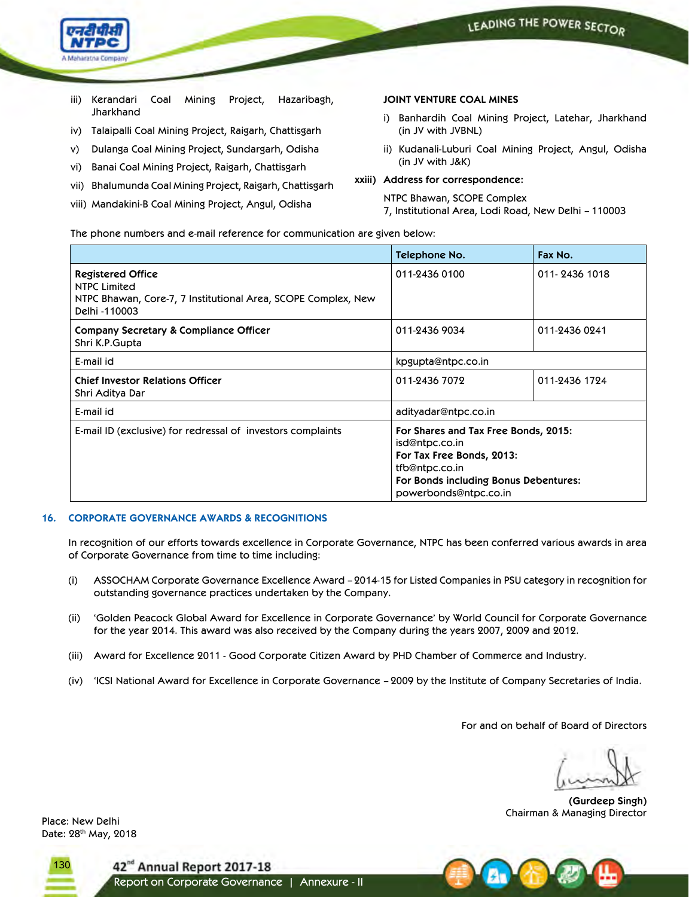

- iii) Kerandari Coal Mining Project, Hazaribagh, Jharkhand
- iv) Talaipalli Coal Mining Project, Raigarh, Chattisgarh
- v) Dulanga Coal Mining Project, Sundargarh, Odisha
- vi) Banai Coal Mining Project, Raigarh, Chattisgarh
- vii) Bhalumunda Coal Mining Project, Raigarh, Chattisgarh
- viii) Mandakini-B Coal Mining Project, Angul, Odisha

### **JOINT VENTURE COAL MINES**

- i) Banhardih Coal Mining Project, Latehar, Jharkhand (in JV with JVBNL)
- ii) Kudanali-Luburi Coal Mining Project, Angul, Odisha (in JV with J&K)

**xxiii) Address for correspondence:**

NTPC Bhawan, SCOPE Complex

7, Institutional Area, Lodi Road, New Delhi – 110003

The phone numbers and e-mail reference for communication are given below:

|                                                                                                                            | Telephone No.                                                                                                                                                           | Fax No.       |
|----------------------------------------------------------------------------------------------------------------------------|-------------------------------------------------------------------------------------------------------------------------------------------------------------------------|---------------|
| <b>Registered Office</b><br>NTPC Limited<br>NTPC Bhawan, Core-7, 7 Institutional Area, SCOPE Complex, New<br>Delhi -110003 | 011-2436 0100                                                                                                                                                           | 011-2436 1018 |
| Company Secretary & Compliance Officer<br>Shri K.P.Gupta                                                                   | 011-2436 9034                                                                                                                                                           | 011-2436 0241 |
| E-mail id                                                                                                                  | kpgupta@ntpc.co.in                                                                                                                                                      |               |
| <b>Chief Investor Relations Officer</b><br>Shri Aditya Dar                                                                 | 011-2436 7072                                                                                                                                                           | 011-2436 1724 |
| E-mail id                                                                                                                  | adityadar@ntpc.co.in                                                                                                                                                    |               |
| E-mail ID (exclusive) for redressal of investors complaints                                                                | For Shares and Tax Free Bonds, 2015:<br>isd@ntpc.co.in<br>For Tax Free Bonds, 2013:<br>tfb@ntpc.co.in<br>For Bonds including Bonus Debentures:<br>powerbonds@ntpc.co.in |               |

### **16. CORPORATE GOVERNANCE AWARDS & RECOGNITIONS**

 In recognition of our efforts towards excellence in Corporate Governance, NTPC has been conferred various awards in area of Corporate Governance from time to time including:

- (i) ASSOCHAM Corporate Governance Excellence Award 2014-15 for Listed Companies in PSU category in recognition for outstanding governance practices undertaken by the Company.
- (ii) 'Golden Peacock Global Award for Excellence in Corporate Governance' by World Council for Corporate Governance for the year 2014. This award was also received by the Company during the years 2007, 2009 and 2012.
- (iii) Award for Excellence 2011 Good Corporate Citizen Award by PHD Chamber of Commerce and Industry.
- (iv) 'ICSI National Award for Excellence in Corporate Governance 2009 by the Institute of Company Secretaries of India.

For and on behalf of Board of Directors

**(Gurdeep Singh)** Chairman & Managing Director Place: New Delhi

Date: 28th May, 2018

130

42<sup>nd</sup> Annual Report 2017-18

Report on Corporate Governance | Annexure - II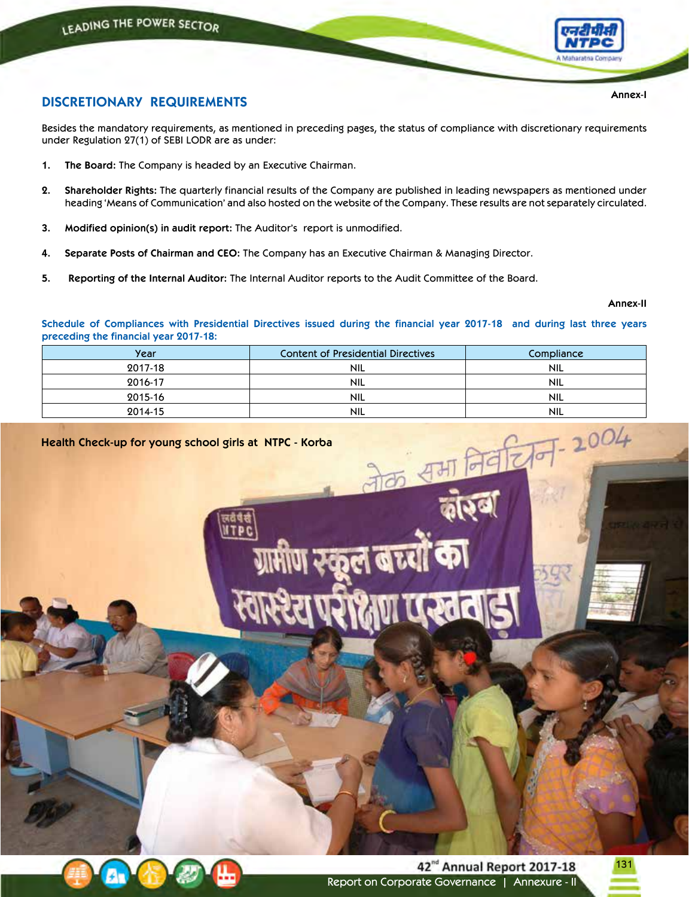

# **DISCRETIONARY REQUIREMENTS**

Besides the mandatory requirements, as mentioned in preceding pages, the status of compliance with discretionary requirements under Regulation 27(1) of SEBI LODR are as under:

- **1. The Board:** The Company is headed by an Executive Chairman.
- **2. Shareholder Rights:** The quarterly financial results of the Company are published in leading newspapers as mentioned under heading 'Means of Communication' and also hosted on the website of the Company. These results are not separately circulated.
- **3. Modified opinion(s) in audit report:** The Auditor's report is unmodified.
- **4. Separate Posts of Chairman and CEO:** The Company has an Executive Chairman & Managing Director.
- **5. Reporting of the Internal Auditor:** The Internal Auditor reports to the Audit Committee of the Board.

**Annex-II**

Schedule of Compliances with Presidential Directives issued during the financial year 2017-18 and during last three years **preceding the financial year 2017-18:**

| Year    | <b>Content of Presidential Directives</b> | Compliance |
|---------|-------------------------------------------|------------|
| 2017-18 | <b>NIL</b>                                | <b>NIL</b> |
| 2016-17 | <b>NIL</b>                                | <b>NIL</b> |
| 2015-16 | <b>NIL</b>                                | <b>NIL</b> |
| 2014-15 | <b>NIL</b>                                | <b>NIL</b> |

# **Health Check-up for young school girls at NTPC - Korba**





**Annex-I**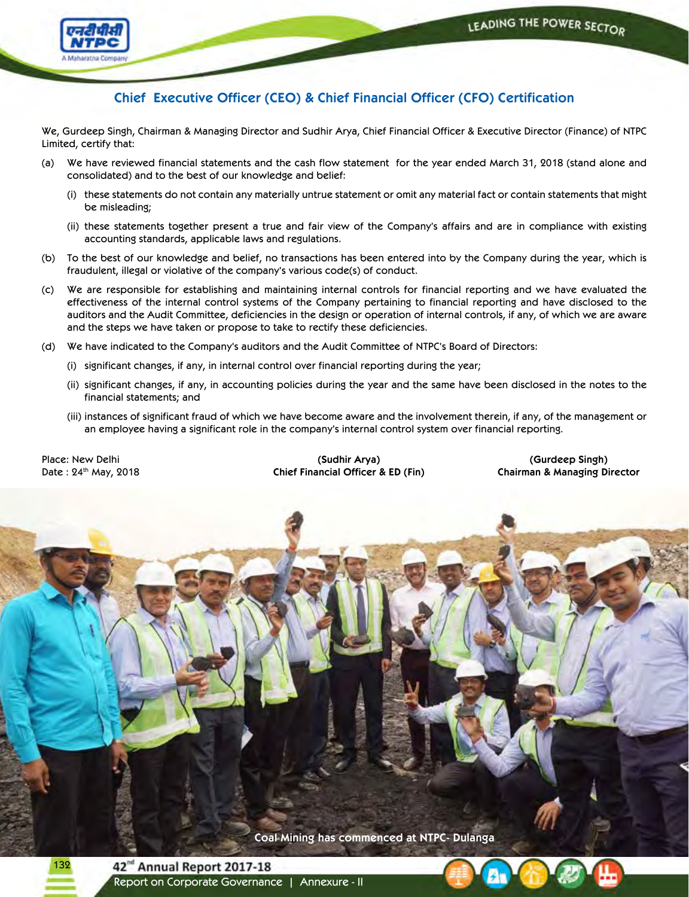

# **Chief Executive Officer (CEO) & Chief Financial Officer (CFO) Certification**

We, Gurdeep Singh, Chairman & Managing Director and Sudhir Arya, Chief Financial Officer & Executive Director (Finance) of NTPC Limited, certify that:

- (a) We have reviewed financial statements and the cash flow statement for the year ended March 31, 2018 (stand alone and consolidated) and to the best of our knowledge and belief:
	- (i) these statements do not contain any materially untrue statement or omit any material fact or contain statements that might be misleading;
	- (ii) these statements together present a true and fair view of the Company's affairs and are in compliance with existing accounting standards, applicable laws and regulations.
- (b) To the best of our knowledge and belief, no transactions has been entered into by the Company during the year, which is fraudulent, illegal or violative of the company's various code(s) of conduct.
- (c) We are responsible for establishing and maintaining internal controls for financial reporting and we have evaluated the effectiveness of the internal control systems of the Company pertaining to financial reporting and have disclosed to the auditors and the Audit Committee, deficiencies in the design or operation of internal controls, if any, of which we are aware and the steps we have taken or propose to take to rectify these deficiencies.
- (d) We have indicated to the Company's auditors and the Audit Committee of NTPC's Board of Directors:
	- (i) significant changes, if any, in internal control over financial reporting during the year;
	- (ii) significant changes, if any, in accounting policies during the year and the same have been disclosed in the notes to the financial statements; and
	- (iii) instances of significant fraud of which we have become aware and the involvement therein, if any, of the management or an employee having a significant role in the company's internal control system over financial reporting.

Place: New Delhi Date: 24th May, 2018

**(Sudhir Arya) Chief Financial Officer & ED (Fin)**

**(Gurdeep Singh) Chairman & Managing Director**

**Coal Mining has commenced at NTPC- Dulanga** 132 42<sup>nd</sup> Annual Report 2017-18 Report on Corporate Governance | Annexure - II